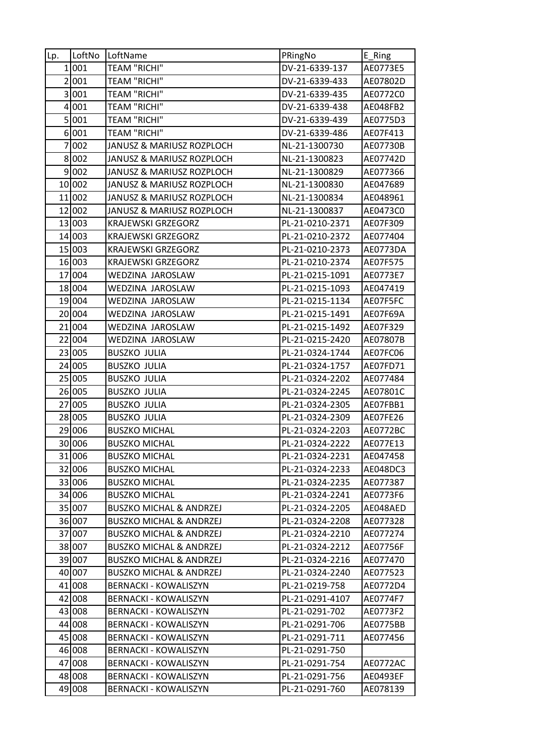| Lp. | LoftNo | LoftName                           | PRingNo         | E_Ring   |
|-----|--------|------------------------------------|-----------------|----------|
|     | 1 001  | <b>TEAM "RICHI"</b>                | DV-21-6339-137  | AE0773E5 |
|     | 2001   | <b>TEAM "RICHI"</b>                | DV-21-6339-433  | AE07802D |
|     | 3 001  | <b>TEAM "RICHI"</b>                | DV-21-6339-435  | AE0772C0 |
|     | 4001   | <b>TEAM "RICHI"</b>                | DV-21-6339-438  | AE048FB2 |
|     | 5 001  | <b>TEAM "RICHI"</b>                | DV-21-6339-439  | AE0775D3 |
|     | 6001   | <b>TEAM "RICHI"</b>                | DV-21-6339-486  | AE07F413 |
|     | 7002   | JANUSZ & MARIUSZ ROZPLOCH          | NL-21-1300730   | AE07730B |
|     | 8002   | JANUSZ & MARIUSZ ROZPLOCH          | NL-21-1300823   | AE07742D |
|     | 9 002  | JANUSZ & MARIUSZ ROZPLOCH          | NL-21-1300829   | AE077366 |
|     | 10 002 | JANUSZ & MARIUSZ ROZPLOCH          | NL-21-1300830   | AE047689 |
|     | 11 002 | JANUSZ & MARIUSZ ROZPLOCH          | NL-21-1300834   | AE048961 |
|     | 12 002 | JANUSZ & MARIUSZ ROZPLOCH          | NL-21-1300837   | AE0473C0 |
|     | 13 003 | <b>KRAJEWSKI GRZEGORZ</b>          | PL-21-0210-2371 | AE07F309 |
|     | 14 003 | <b>KRAJEWSKI GRZEGORZ</b>          | PL-21-0210-2372 | AE077404 |
|     | 15 003 | <b>KRAJEWSKI GRZEGORZ</b>          | PL-21-0210-2373 | AE0773DA |
|     | 16 003 | <b>KRAJEWSKI GRZEGORZ</b>          | PL-21-0210-2374 | AE07F575 |
|     | 17 004 | WEDZINA JAROSLAW                   | PL-21-0215-1091 | AE0773E7 |
|     | 18 004 | WEDZINA JAROSLAW                   | PL-21-0215-1093 | AE047419 |
|     | 19 004 | WEDZINA JAROSLAW                   | PL-21-0215-1134 | AE07F5FC |
|     | 20 004 | WEDZINA JAROSLAW                   | PL-21-0215-1491 | AE07F69A |
|     | 21 004 | WEDZINA JAROSLAW                   | PL-21-0215-1492 | AE07F329 |
|     | 22 004 | WEDZINA JAROSLAW                   | PL-21-0215-2420 | AE07807B |
|     | 23 005 | <b>BUSZKO JULIA</b>                | PL-21-0324-1744 | AE07FC06 |
|     | 24 005 | <b>BUSZKO JULIA</b>                | PL-21-0324-1757 | AE07FD71 |
|     | 25 005 | <b>BUSZKO JULIA</b>                | PL-21-0324-2202 | AE077484 |
|     | 26 005 | <b>BUSZKO JULIA</b>                | PL-21-0324-2245 | AE07801C |
|     | 27 005 | <b>BUSZKO JULIA</b>                | PL-21-0324-2305 | AE07FBB1 |
|     | 28 005 | <b>BUSZKO JULIA</b>                | PL-21-0324-2309 | AE07FE26 |
|     | 29 006 | <b>BUSZKO MICHAL</b>               | PL-21-0324-2203 | AE0772BC |
|     | 30 006 | <b>BUSZKO MICHAL</b>               | PL-21-0324-2222 | AE077E13 |
|     | 31 006 | <b>BUSZKO MICHAL</b>               | PL-21-0324-2231 | AE047458 |
|     | 32 006 | <b>BUSZKO MICHAL</b>               | PL-21-0324-2233 | AE048DC3 |
|     | 33 006 | <b>BUSZKO MICHAL</b>               | PL-21-0324-2235 | AE077387 |
|     | 34 006 | <b>BUSZKO MICHAL</b>               | PL-21-0324-2241 | AE0773F6 |
|     | 35 007 | <b>BUSZKO MICHAL &amp; ANDRZEJ</b> | PL-21-0324-2205 | AE048AED |
|     | 36 007 | <b>BUSZKO MICHAL &amp; ANDRZEJ</b> | PL-21-0324-2208 | AE077328 |
|     | 37 007 | <b>BUSZKO MICHAL &amp; ANDRZEJ</b> | PL-21-0324-2210 | AE077274 |
|     | 38 007 | <b>BUSZKO MICHAL &amp; ANDRZEJ</b> | PL-21-0324-2212 | AE07756F |
|     | 39 007 | <b>BUSZKO MICHAL &amp; ANDRZEJ</b> | PL-21-0324-2216 | AE077470 |
|     | 40 007 | <b>BUSZKO MICHAL &amp; ANDRZEJ</b> | PL-21-0324-2240 | AE077523 |
|     | 41 008 | <b>BERNACKI - KOWALISZYN</b>       | PL-21-0219-758  | AE0772D4 |
|     | 42 008 | <b>BERNACKI - KOWALISZYN</b>       | PL-21-0291-4107 | AE0774F7 |
|     | 43 008 | <b>BERNACKI - KOWALISZYN</b>       | PL-21-0291-702  | AE0773F2 |
|     | 44 008 | <b>BERNACKI - KOWALISZYN</b>       | PL-21-0291-706  | AE0775BB |
|     | 45 008 | <b>BERNACKI - KOWALISZYN</b>       | PL-21-0291-711  | AE077456 |
|     | 46 008 | <b>BERNACKI - KOWALISZYN</b>       | PL-21-0291-750  |          |
|     | 47 008 | <b>BERNACKI - KOWALISZYN</b>       | PL-21-0291-754  | AE0772AC |
|     | 48 008 | BERNACKI - KOWALISZYN              | PL-21-0291-756  | AE0493EF |
|     | 49 008 | <b>BERNACKI - KOWALISZYN</b>       | PL-21-0291-760  | AE078139 |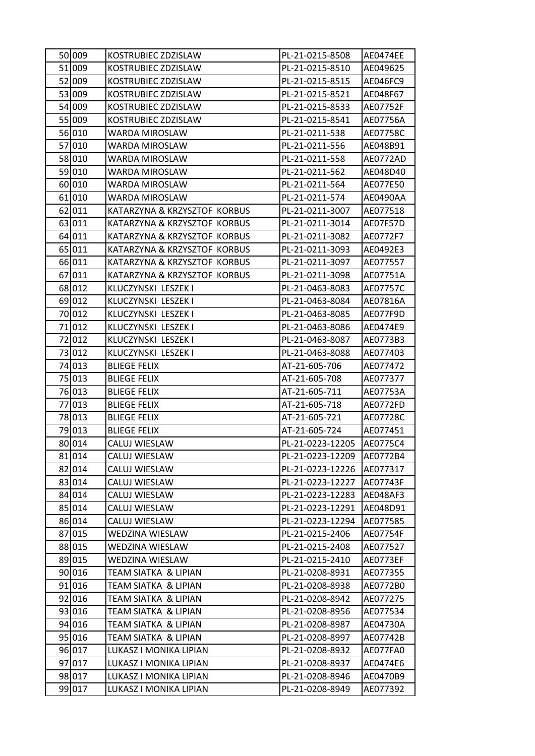| 50 009 | KOSTRUBIEC ZDZISLAW          | PL-21-0215-8508  | AE0474EE |
|--------|------------------------------|------------------|----------|
| 51 009 | KOSTRUBIEC ZDZISLAW          | PL-21-0215-8510  | AE049625 |
| 52 009 | KOSTRUBIEC ZDZISLAW          | PL-21-0215-8515  | AE046FC9 |
| 53 009 | KOSTRUBIEC ZDZISLAW          | PL-21-0215-8521  | AE048F67 |
| 54 009 | KOSTRUBIEC ZDZISLAW          | PL-21-0215-8533  | AE07752F |
| 55 009 | KOSTRUBIEC ZDZISLAW          | PL-21-0215-8541  | AE07756A |
| 56 010 | WARDA MIROSLAW               | PL-21-0211-538   | AE07758C |
| 57 010 | WARDA MIROSLAW               | PL-21-0211-556   | AE048B91 |
| 58 010 | WARDA MIROSLAW               | PL-21-0211-558   | AE0772AD |
| 59 010 | WARDA MIROSLAW               | PL-21-0211-562   | AE048D40 |
| 60 010 | WARDA MIROSLAW               | PL-21-0211-564   | AE077E50 |
| 61 010 | WARDA MIROSLAW               | PL-21-0211-574   | AE0490AA |
| 62 011 | KATARZYNA & KRZYSZTOF KORBUS | PL-21-0211-3007  | AE077518 |
| 63 011 | KATARZYNA & KRZYSZTOF KORBUS | PL-21-0211-3014  | AE07F57D |
| 64 011 | KATARZYNA & KRZYSZTOF KORBUS | PL-21-0211-3082  | AE0772F7 |
| 65 011 | KATARZYNA & KRZYSZTOF KORBUS | PL-21-0211-3093  | AE0492E3 |
| 66011  | KATARZYNA & KRZYSZTOF KORBUS | PL-21-0211-3097  | AE077557 |
| 67 011 | KATARZYNA & KRZYSZTOF KORBUS | PL-21-0211-3098  | AE07751A |
| 68 012 | KLUCZYNSKI LESZEK I          | PL-21-0463-8083  | AE07757C |
| 69 012 | KLUCZYNSKI LESZEK I          | PL-21-0463-8084  | AE07816A |
| 70 012 | KLUCZYNSKI LESZEK I          | PL-21-0463-8085  | AE077F9D |
| 71012  | KLUCZYNSKI LESZEK I          | PL-21-0463-8086  | AE0474E9 |
| 72 012 | KLUCZYNSKI LESZEK I          | PL-21-0463-8087  | AE0773B3 |
| 73 012 | KLUCZYNSKI LESZEK I          | PL-21-0463-8088  | AE077403 |
| 74 013 | <b>BLIEGE FELIX</b>          | AT-21-605-706    | AE077472 |
| 75 013 | <b>BLIEGE FELIX</b>          | AT-21-605-708    | AE077377 |
| 76 013 | <b>BLIEGE FELIX</b>          | AT-21-605-711    | AE07753A |
| 77 013 | <b>BLIEGE FELIX</b>          | AT-21-605-718    | AE0772FD |
| 78 013 | <b>BLIEGE FELIX</b>          | AT-21-605-721    | AE07728C |
| 79 013 | <b>BLIEGE FELIX</b>          | AT-21-605-724    | AE077451 |
| 80014  | CALUJ WIESLAW                | PL-21-0223-12205 | AE0775C4 |
| 81 014 | CALUJ WIESLAW                | PL-21-0223-12209 | AE0772B4 |
| 82 014 | CALUJ WIESLAW                | PL-21-0223-12226 | AE077317 |
| 83 014 | CALUJ WIESLAW                | PL-21-0223-12227 | AE07743F |
| 84 014 | CALUJ WIESLAW                | PL-21-0223-12283 | AE048AF3 |
| 85 014 | CALUJ WIESLAW                | PL-21-0223-12291 | AE048D91 |
| 86 014 | CALUJ WIESLAW                | PL-21-0223-12294 | AE077585 |
| 87 015 | WEDZINA WIESLAW              | PL-21-0215-2406  | AE07754F |
| 88 015 | WEDZINA WIESLAW              | PL-21-0215-2408  | AE077527 |
| 89 015 | WEDZINA WIESLAW              | PL-21-0215-2410  | AE0773EF |
| 90 016 | TEAM SIATKA & LIPIAN         | PL-21-0208-8931  | AE077355 |
| 91 016 | TEAM SIATKA & LIPIAN         | PL-21-0208-8938  | AE0772B0 |
| 92 016 | TEAM SIATKA & LIPIAN         | PL-21-0208-8942  | AE077275 |
| 93 016 | TEAM SIATKA & LIPIAN         | PL-21-0208-8956  | AE077534 |
| 94 016 | TEAM SIATKA & LIPIAN         | PL-21-0208-8987  | AE04730A |
| 95 016 | TEAM SIATKA & LIPIAN         | PL-21-0208-8997  | AE07742B |
| 96 017 | LUKASZ I MONIKA LIPIAN       | PL-21-0208-8932  | AE077FA0 |
| 97 017 | LUKASZ I MONIKA LIPIAN       | PL-21-0208-8937  | AE0474E6 |
| 98 017 | LUKASZ I MONIKA LIPIAN       | PL-21-0208-8946  | AE0470B9 |
| 99 017 | LUKASZ I MONIKA LIPIAN       | PL-21-0208-8949  | AE077392 |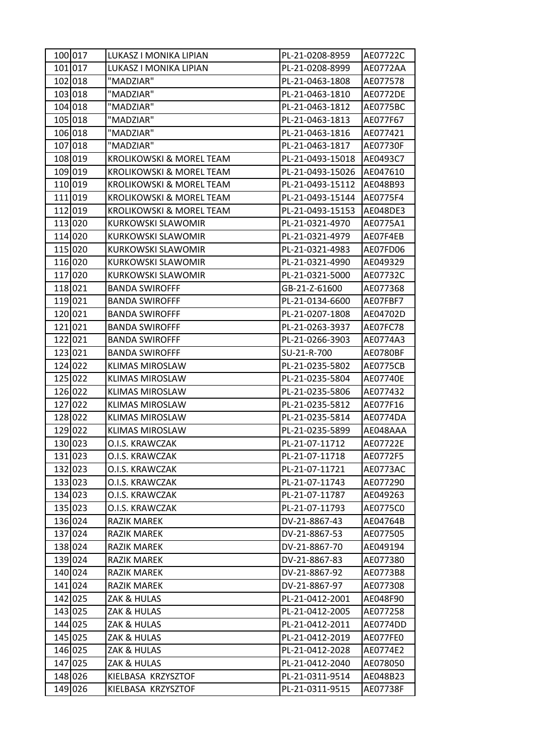| 100 017 | LUKASZ I MONIKA LIPIAN   | PL-21-0208-8959  | AE07722C        |
|---------|--------------------------|------------------|-----------------|
| 101 017 | LUKASZ I MONIKA LIPIAN   | PL-21-0208-8999  | AE0772AA        |
| 102 018 | "MADZIAR"                | PL-21-0463-1808  | AE077578        |
| 103 018 | "MADZIAR"                | PL-21-0463-1810  | <b>AE0772DE</b> |
| 104 018 | "MADZIAR"                | PL-21-0463-1812  | AE0775BC        |
| 105 018 | "MADZIAR"                | PL-21-0463-1813  | AE077F67        |
| 106 018 | "MADZIAR"                | PL-21-0463-1816  | AE077421        |
| 107 018 | "MADZIAR"                | PL-21-0463-1817  | AE07730F        |
| 108 019 | KROLIKOWSKI & MOREL TEAM | PL-21-0493-15018 | AE0493C7        |
| 109 019 | KROLIKOWSKI & MOREL TEAM | PL-21-0493-15026 | AE047610        |
| 110 019 | KROLIKOWSKI & MOREL TEAM | PL-21-0493-15112 | AE048B93        |
| 111 019 | KROLIKOWSKI & MOREL TEAM | PL-21-0493-15144 | AE0775F4        |
| 112 019 | KROLIKOWSKI & MOREL TEAM | PL-21-0493-15153 | AE048DE3        |
| 113 020 | KURKOWSKI SLAWOMIR       | PL-21-0321-4970  | AE0775A1        |
| 114 020 | KURKOWSKI SLAWOMIR       | PL-21-0321-4979  | AE07F4EB        |
| 115 020 | KURKOWSKI SLAWOMIR       | PL-21-0321-4983  | AE07FD06        |
| 116 020 | KURKOWSKI SLAWOMIR       | PL-21-0321-4990  | AE049329        |
| 117 020 | KURKOWSKI SLAWOMIR       | PL-21-0321-5000  | AE07732C        |
| 118 021 | <b>BANDA SWIROFFF</b>    | GB-21-Z-61600    | AE077368        |
| 119 021 | <b>BANDA SWIROFFF</b>    | PL-21-0134-6600  | AE07FBF7        |
| 120 021 | <b>BANDA SWIROFFF</b>    | PL-21-0207-1808  | AE04702D        |
| 121 021 | <b>BANDA SWIROFFF</b>    | PL-21-0263-3937  | AE07FC78        |
| 122 021 | <b>BANDA SWIROFFF</b>    | PL-21-0266-3903  | AE0774A3        |
| 123 021 | <b>BANDA SWIROFFF</b>    | SU-21-R-700      | AE0780BF        |
| 124 022 | <b>KLIMAS MIROSLAW</b>   | PL-21-0235-5802  | AE0775CB        |
| 125 022 | <b>KLIMAS MIROSLAW</b>   | PL-21-0235-5804  | AE07740E        |
| 126 022 | KLIMAS MIROSLAW          | PL-21-0235-5806  | AE077432        |
| 127 022 | <b>KLIMAS MIROSLAW</b>   | PL-21-0235-5812  | AE077F16        |
| 128 022 | <b>KLIMAS MIROSLAW</b>   | PL-21-0235-5814  | AE0774DA        |
| 129 022 | <b>KLIMAS MIROSLAW</b>   | PL-21-0235-5899  | AE048AAA        |
| 130 023 | O.I.S. KRAWCZAK          | PL-21-07-11712   | AE07722E        |
| 131 023 | O.I.S. KRAWCZAK          | PL-21-07-11718   | AE0772F5        |
| 132 023 | O.I.S. KRAWCZAK          | PL-21-07-11721   | AE0773AC        |
| 133 023 | O.I.S. KRAWCZAK          | PL-21-07-11743   | AE077290        |
| 134 023 | O.I.S. KRAWCZAK          | PL-21-07-11787   | AE049263        |
| 135 023 | O.I.S. KRAWCZAK          | PL-21-07-11793   | AE0775C0        |
| 136 024 | RAZIK MAREK              | DV-21-8867-43    | AE04764B        |
| 137 024 | <b>RAZIK MAREK</b>       | DV-21-8867-53    | AE077505        |
| 138 024 | RAZIK MAREK              | DV-21-8867-70    | AE049194        |
| 139 024 | <b>RAZIK MAREK</b>       | DV-21-8867-83    | AE077380        |
| 140 024 | RAZIK MAREK              | DV-21-8867-92    | AE0773B8        |
| 141 024 | RAZIK MAREK              | DV-21-8867-97    | AE077308        |
| 142 025 | ZAK & HULAS              | PL-21-0412-2001  | AE048F90        |
| 143 025 | ZAK & HULAS              | PL-21-0412-2005  | AE077258        |
| 144 025 | ZAK & HULAS              | PL-21-0412-2011  | AE0774DD        |
| 145 025 | ZAK & HULAS              | PL-21-0412-2019  | AE077FE0        |
| 146 025 | ZAK & HULAS              | PL-21-0412-2028  | AE0774E2        |
| 147 025 | ZAK & HULAS              | PL-21-0412-2040  | AE078050        |
| 148 026 | KIELBASA KRZYSZTOF       | PL-21-0311-9514  | AE048B23        |
| 149 026 | KIELBASA KRZYSZTOF       | PL-21-0311-9515  | AE07738F        |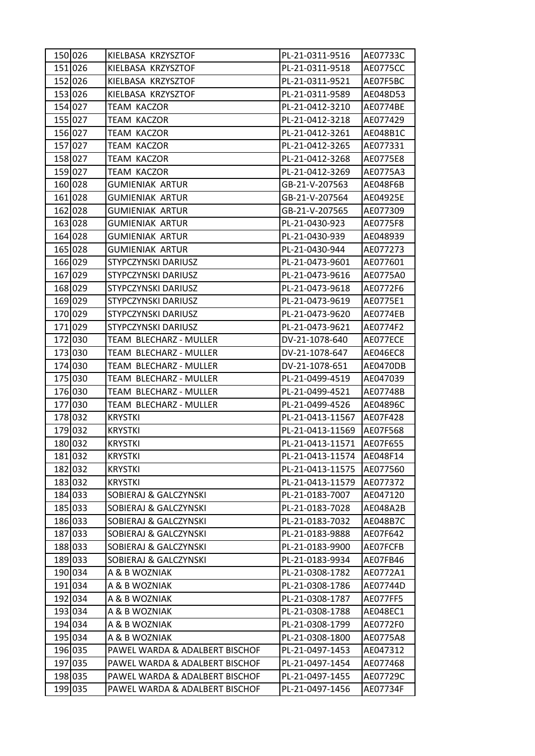| 151 026<br>KIELBASA KRZYSZTOF<br>PL-21-0311-9518<br>AE0775CC<br>152 026<br>KIELBASA KRZYSZTOF<br>PL-21-0311-9521<br>AE07F5BC<br>153 026<br>KIELBASA KRZYSZTOF<br>PL-21-0311-9589<br>AE048D53<br>154 027<br>PL-21-0412-3210<br><b>TEAM KACZOR</b><br>AE0774BE<br>155 027<br>TEAM KACZOR<br>PL-21-0412-3218<br>AE077429<br>156 027<br>PL-21-0412-3261<br>TEAM KACZOR<br>AE048B1C<br>157 027<br><b>TEAM KACZOR</b><br>PL-21-0412-3265<br>AE077331<br>158 027<br>TEAM KACZOR<br>AE0775E8<br>PL-21-0412-3268<br>159 027<br><b>TEAM KACZOR</b><br>PL-21-0412-3269<br>AE0775A3<br>160 028<br>GB-21-V-207563<br>AE048F6B<br>GUMIENIAK ARTUR<br>161 028<br>GB-21-V-207564<br>GUMIENIAK ARTUR<br>AE04925E<br>162 028<br><b>GUMIENIAK ARTUR</b><br>GB-21-V-207565<br>AE077309<br>163 028<br>GUMIENIAK ARTUR<br>PL-21-0430-923<br>AE0775F8<br>164 028<br><b>GUMIENIAK ARTUR</b><br>PL-21-0430-939<br>AE048939<br>165 028<br>PL-21-0430-944<br>GUMIENIAK ARTUR<br>AE077273<br>166 029<br>STYPCZYNSKI DARIUSZ<br>PL-21-0473-9601<br>AE077601<br>167 029<br>STYPCZYNSKI DARIUSZ<br>PL-21-0473-9616<br>AE0775A0<br>168 029<br>STYPCZYNSKI DARIUSZ<br>PL-21-0473-9618<br>AE0772F6<br>169 029<br>STYPCZYNSKI DARIUSZ<br>PL-21-0473-9619<br>AE0775E1<br>170 029<br>PL-21-0473-9620<br>STYPCZYNSKI DARIUSZ<br>AE0774EB<br>171 029<br>STYPCZYNSKI DARIUSZ<br>PL-21-0473-9621<br>AE0774F2<br>172 030<br>TEAM BLECHARZ - MULLER<br>DV-21-1078-640<br>AE077ECE<br>173 030<br>TEAM BLECHARZ - MULLER<br>DV-21-1078-647<br>AE046EC8<br>174 030<br>TEAM BLECHARZ - MULLER<br>DV-21-1078-651<br>AE0470DB<br>175 030<br>PL-21-0499-4519<br>TEAM BLECHARZ - MULLER<br>AE047039<br>176 030<br>TEAM BLECHARZ - MULLER<br>PL-21-0499-4521<br>AE07748B<br>177 030<br>PL-21-0499-4526<br>TEAM BLECHARZ - MULLER<br>AE04896C<br>178 032<br><b>KRYSTKI</b><br>PL-21-0413-11567<br>AE07F428<br>179 032<br><b>KRYSTKI</b><br>PL-21-0413-11569<br>AE07F568<br>180 032<br><b>KRYSTKI</b><br>PL-21-0413-11571<br>AE07F655<br>181 032<br>PL-21-0413-11574<br>AE048F14<br><b>KRYSTKI</b><br>182 032<br>PL-21-0413-11575<br><b>KRYSTKI</b><br>AE077560<br>183 032<br><b>KRYSTKI</b><br>PL-21-0413-11579<br>AE077372<br>184 033<br>SOBIERAJ & GALCZYNSKI<br>PL-21-0183-7007<br>AE047120<br>185 033<br>SOBIERAJ & GALCZYNSKI<br>PL-21-0183-7028<br>AE048A2B<br>186 033<br>SOBIERAJ & GALCZYNSKI<br>PL-21-0183-7032<br>AE048B7C<br>187 033<br>SOBIERAJ & GALCZYNSKI<br>PL-21-0183-9888<br>AE07F642<br>188 033<br>SOBIERAJ & GALCZYNSKI<br>PL-21-0183-9900<br>AE07FCFB<br>189 033<br><b>SOBIERAJ &amp; GALCZYNSKI</b><br>PL-21-0183-9934<br>AE07FB46<br>190 034<br>A & B WOZNIAK<br>PL-21-0308-1782<br>AE0772A1<br>191 034<br>A & B WOZNIAK<br>PL-21-0308-1786<br>AE07744D<br>192 034<br>A & B WOZNIAK<br>PL-21-0308-1787<br>AE077FF5<br>193 034<br>A & B WOZNIAK<br>AE048EC1<br>PL-21-0308-1788<br>194 034<br>PL-21-0308-1799<br>A & B WOZNIAK<br>AE0772F0<br>195 034<br>A & B WOZNIAK<br>PL-21-0308-1800<br>AE0775A8<br>196 035<br>PAWEL WARDA & ADALBERT BISCHOF<br>PL-21-0497-1453<br>AE047312<br>197 035<br>PAWEL WARDA & ADALBERT BISCHOF<br>PL-21-0497-1454<br>AE077468<br>198 035<br>PAWEL WARDA & ADALBERT BISCHOF<br>PL-21-0497-1455<br>AE07729C<br>199 035<br>PAWEL WARDA & ADALBERT BISCHOF<br>PL-21-0497-1456<br>AE07734F | 150 026 | KIELBASA KRZYSZTOF | PL-21-0311-9516 | AE07733C |
|---------------------------------------------------------------------------------------------------------------------------------------------------------------------------------------------------------------------------------------------------------------------------------------------------------------------------------------------------------------------------------------------------------------------------------------------------------------------------------------------------------------------------------------------------------------------------------------------------------------------------------------------------------------------------------------------------------------------------------------------------------------------------------------------------------------------------------------------------------------------------------------------------------------------------------------------------------------------------------------------------------------------------------------------------------------------------------------------------------------------------------------------------------------------------------------------------------------------------------------------------------------------------------------------------------------------------------------------------------------------------------------------------------------------------------------------------------------------------------------------------------------------------------------------------------------------------------------------------------------------------------------------------------------------------------------------------------------------------------------------------------------------------------------------------------------------------------------------------------------------------------------------------------------------------------------------------------------------------------------------------------------------------------------------------------------------------------------------------------------------------------------------------------------------------------------------------------------------------------------------------------------------------------------------------------------------------------------------------------------------------------------------------------------------------------------------------------------------------------------------------------------------------------------------------------------------------------------------------------------------------------------------------------------------------------------------------------------------------------------------------------------------------------------------------------------------------------------------------------------------------------------------------------------------------------------------------------------------------------------------------------------------------------------------------------------------------------------------------------------------------------------------------------------------------------------------------------------------------------------------------------------------------------------|---------|--------------------|-----------------|----------|
|                                                                                                                                                                                                                                                                                                                                                                                                                                                                                                                                                                                                                                                                                                                                                                                                                                                                                                                                                                                                                                                                                                                                                                                                                                                                                                                                                                                                                                                                                                                                                                                                                                                                                                                                                                                                                                                                                                                                                                                                                                                                                                                                                                                                                                                                                                                                                                                                                                                                                                                                                                                                                                                                                                                                                                                                                                                                                                                                                                                                                                                                                                                                                                                                                                                                                       |         |                    |                 |          |
|                                                                                                                                                                                                                                                                                                                                                                                                                                                                                                                                                                                                                                                                                                                                                                                                                                                                                                                                                                                                                                                                                                                                                                                                                                                                                                                                                                                                                                                                                                                                                                                                                                                                                                                                                                                                                                                                                                                                                                                                                                                                                                                                                                                                                                                                                                                                                                                                                                                                                                                                                                                                                                                                                                                                                                                                                                                                                                                                                                                                                                                                                                                                                                                                                                                                                       |         |                    |                 |          |
|                                                                                                                                                                                                                                                                                                                                                                                                                                                                                                                                                                                                                                                                                                                                                                                                                                                                                                                                                                                                                                                                                                                                                                                                                                                                                                                                                                                                                                                                                                                                                                                                                                                                                                                                                                                                                                                                                                                                                                                                                                                                                                                                                                                                                                                                                                                                                                                                                                                                                                                                                                                                                                                                                                                                                                                                                                                                                                                                                                                                                                                                                                                                                                                                                                                                                       |         |                    |                 |          |
|                                                                                                                                                                                                                                                                                                                                                                                                                                                                                                                                                                                                                                                                                                                                                                                                                                                                                                                                                                                                                                                                                                                                                                                                                                                                                                                                                                                                                                                                                                                                                                                                                                                                                                                                                                                                                                                                                                                                                                                                                                                                                                                                                                                                                                                                                                                                                                                                                                                                                                                                                                                                                                                                                                                                                                                                                                                                                                                                                                                                                                                                                                                                                                                                                                                                                       |         |                    |                 |          |
|                                                                                                                                                                                                                                                                                                                                                                                                                                                                                                                                                                                                                                                                                                                                                                                                                                                                                                                                                                                                                                                                                                                                                                                                                                                                                                                                                                                                                                                                                                                                                                                                                                                                                                                                                                                                                                                                                                                                                                                                                                                                                                                                                                                                                                                                                                                                                                                                                                                                                                                                                                                                                                                                                                                                                                                                                                                                                                                                                                                                                                                                                                                                                                                                                                                                                       |         |                    |                 |          |
|                                                                                                                                                                                                                                                                                                                                                                                                                                                                                                                                                                                                                                                                                                                                                                                                                                                                                                                                                                                                                                                                                                                                                                                                                                                                                                                                                                                                                                                                                                                                                                                                                                                                                                                                                                                                                                                                                                                                                                                                                                                                                                                                                                                                                                                                                                                                                                                                                                                                                                                                                                                                                                                                                                                                                                                                                                                                                                                                                                                                                                                                                                                                                                                                                                                                                       |         |                    |                 |          |
|                                                                                                                                                                                                                                                                                                                                                                                                                                                                                                                                                                                                                                                                                                                                                                                                                                                                                                                                                                                                                                                                                                                                                                                                                                                                                                                                                                                                                                                                                                                                                                                                                                                                                                                                                                                                                                                                                                                                                                                                                                                                                                                                                                                                                                                                                                                                                                                                                                                                                                                                                                                                                                                                                                                                                                                                                                                                                                                                                                                                                                                                                                                                                                                                                                                                                       |         |                    |                 |          |
|                                                                                                                                                                                                                                                                                                                                                                                                                                                                                                                                                                                                                                                                                                                                                                                                                                                                                                                                                                                                                                                                                                                                                                                                                                                                                                                                                                                                                                                                                                                                                                                                                                                                                                                                                                                                                                                                                                                                                                                                                                                                                                                                                                                                                                                                                                                                                                                                                                                                                                                                                                                                                                                                                                                                                                                                                                                                                                                                                                                                                                                                                                                                                                                                                                                                                       |         |                    |                 |          |
|                                                                                                                                                                                                                                                                                                                                                                                                                                                                                                                                                                                                                                                                                                                                                                                                                                                                                                                                                                                                                                                                                                                                                                                                                                                                                                                                                                                                                                                                                                                                                                                                                                                                                                                                                                                                                                                                                                                                                                                                                                                                                                                                                                                                                                                                                                                                                                                                                                                                                                                                                                                                                                                                                                                                                                                                                                                                                                                                                                                                                                                                                                                                                                                                                                                                                       |         |                    |                 |          |
|                                                                                                                                                                                                                                                                                                                                                                                                                                                                                                                                                                                                                                                                                                                                                                                                                                                                                                                                                                                                                                                                                                                                                                                                                                                                                                                                                                                                                                                                                                                                                                                                                                                                                                                                                                                                                                                                                                                                                                                                                                                                                                                                                                                                                                                                                                                                                                                                                                                                                                                                                                                                                                                                                                                                                                                                                                                                                                                                                                                                                                                                                                                                                                                                                                                                                       |         |                    |                 |          |
|                                                                                                                                                                                                                                                                                                                                                                                                                                                                                                                                                                                                                                                                                                                                                                                                                                                                                                                                                                                                                                                                                                                                                                                                                                                                                                                                                                                                                                                                                                                                                                                                                                                                                                                                                                                                                                                                                                                                                                                                                                                                                                                                                                                                                                                                                                                                                                                                                                                                                                                                                                                                                                                                                                                                                                                                                                                                                                                                                                                                                                                                                                                                                                                                                                                                                       |         |                    |                 |          |
|                                                                                                                                                                                                                                                                                                                                                                                                                                                                                                                                                                                                                                                                                                                                                                                                                                                                                                                                                                                                                                                                                                                                                                                                                                                                                                                                                                                                                                                                                                                                                                                                                                                                                                                                                                                                                                                                                                                                                                                                                                                                                                                                                                                                                                                                                                                                                                                                                                                                                                                                                                                                                                                                                                                                                                                                                                                                                                                                                                                                                                                                                                                                                                                                                                                                                       |         |                    |                 |          |
|                                                                                                                                                                                                                                                                                                                                                                                                                                                                                                                                                                                                                                                                                                                                                                                                                                                                                                                                                                                                                                                                                                                                                                                                                                                                                                                                                                                                                                                                                                                                                                                                                                                                                                                                                                                                                                                                                                                                                                                                                                                                                                                                                                                                                                                                                                                                                                                                                                                                                                                                                                                                                                                                                                                                                                                                                                                                                                                                                                                                                                                                                                                                                                                                                                                                                       |         |                    |                 |          |
|                                                                                                                                                                                                                                                                                                                                                                                                                                                                                                                                                                                                                                                                                                                                                                                                                                                                                                                                                                                                                                                                                                                                                                                                                                                                                                                                                                                                                                                                                                                                                                                                                                                                                                                                                                                                                                                                                                                                                                                                                                                                                                                                                                                                                                                                                                                                                                                                                                                                                                                                                                                                                                                                                                                                                                                                                                                                                                                                                                                                                                                                                                                                                                                                                                                                                       |         |                    |                 |          |
|                                                                                                                                                                                                                                                                                                                                                                                                                                                                                                                                                                                                                                                                                                                                                                                                                                                                                                                                                                                                                                                                                                                                                                                                                                                                                                                                                                                                                                                                                                                                                                                                                                                                                                                                                                                                                                                                                                                                                                                                                                                                                                                                                                                                                                                                                                                                                                                                                                                                                                                                                                                                                                                                                                                                                                                                                                                                                                                                                                                                                                                                                                                                                                                                                                                                                       |         |                    |                 |          |
|                                                                                                                                                                                                                                                                                                                                                                                                                                                                                                                                                                                                                                                                                                                                                                                                                                                                                                                                                                                                                                                                                                                                                                                                                                                                                                                                                                                                                                                                                                                                                                                                                                                                                                                                                                                                                                                                                                                                                                                                                                                                                                                                                                                                                                                                                                                                                                                                                                                                                                                                                                                                                                                                                                                                                                                                                                                                                                                                                                                                                                                                                                                                                                                                                                                                                       |         |                    |                 |          |
|                                                                                                                                                                                                                                                                                                                                                                                                                                                                                                                                                                                                                                                                                                                                                                                                                                                                                                                                                                                                                                                                                                                                                                                                                                                                                                                                                                                                                                                                                                                                                                                                                                                                                                                                                                                                                                                                                                                                                                                                                                                                                                                                                                                                                                                                                                                                                                                                                                                                                                                                                                                                                                                                                                                                                                                                                                                                                                                                                                                                                                                                                                                                                                                                                                                                                       |         |                    |                 |          |
|                                                                                                                                                                                                                                                                                                                                                                                                                                                                                                                                                                                                                                                                                                                                                                                                                                                                                                                                                                                                                                                                                                                                                                                                                                                                                                                                                                                                                                                                                                                                                                                                                                                                                                                                                                                                                                                                                                                                                                                                                                                                                                                                                                                                                                                                                                                                                                                                                                                                                                                                                                                                                                                                                                                                                                                                                                                                                                                                                                                                                                                                                                                                                                                                                                                                                       |         |                    |                 |          |
|                                                                                                                                                                                                                                                                                                                                                                                                                                                                                                                                                                                                                                                                                                                                                                                                                                                                                                                                                                                                                                                                                                                                                                                                                                                                                                                                                                                                                                                                                                                                                                                                                                                                                                                                                                                                                                                                                                                                                                                                                                                                                                                                                                                                                                                                                                                                                                                                                                                                                                                                                                                                                                                                                                                                                                                                                                                                                                                                                                                                                                                                                                                                                                                                                                                                                       |         |                    |                 |          |
|                                                                                                                                                                                                                                                                                                                                                                                                                                                                                                                                                                                                                                                                                                                                                                                                                                                                                                                                                                                                                                                                                                                                                                                                                                                                                                                                                                                                                                                                                                                                                                                                                                                                                                                                                                                                                                                                                                                                                                                                                                                                                                                                                                                                                                                                                                                                                                                                                                                                                                                                                                                                                                                                                                                                                                                                                                                                                                                                                                                                                                                                                                                                                                                                                                                                                       |         |                    |                 |          |
|                                                                                                                                                                                                                                                                                                                                                                                                                                                                                                                                                                                                                                                                                                                                                                                                                                                                                                                                                                                                                                                                                                                                                                                                                                                                                                                                                                                                                                                                                                                                                                                                                                                                                                                                                                                                                                                                                                                                                                                                                                                                                                                                                                                                                                                                                                                                                                                                                                                                                                                                                                                                                                                                                                                                                                                                                                                                                                                                                                                                                                                                                                                                                                                                                                                                                       |         |                    |                 |          |
|                                                                                                                                                                                                                                                                                                                                                                                                                                                                                                                                                                                                                                                                                                                                                                                                                                                                                                                                                                                                                                                                                                                                                                                                                                                                                                                                                                                                                                                                                                                                                                                                                                                                                                                                                                                                                                                                                                                                                                                                                                                                                                                                                                                                                                                                                                                                                                                                                                                                                                                                                                                                                                                                                                                                                                                                                                                                                                                                                                                                                                                                                                                                                                                                                                                                                       |         |                    |                 |          |
|                                                                                                                                                                                                                                                                                                                                                                                                                                                                                                                                                                                                                                                                                                                                                                                                                                                                                                                                                                                                                                                                                                                                                                                                                                                                                                                                                                                                                                                                                                                                                                                                                                                                                                                                                                                                                                                                                                                                                                                                                                                                                                                                                                                                                                                                                                                                                                                                                                                                                                                                                                                                                                                                                                                                                                                                                                                                                                                                                                                                                                                                                                                                                                                                                                                                                       |         |                    |                 |          |
|                                                                                                                                                                                                                                                                                                                                                                                                                                                                                                                                                                                                                                                                                                                                                                                                                                                                                                                                                                                                                                                                                                                                                                                                                                                                                                                                                                                                                                                                                                                                                                                                                                                                                                                                                                                                                                                                                                                                                                                                                                                                                                                                                                                                                                                                                                                                                                                                                                                                                                                                                                                                                                                                                                                                                                                                                                                                                                                                                                                                                                                                                                                                                                                                                                                                                       |         |                    |                 |          |
|                                                                                                                                                                                                                                                                                                                                                                                                                                                                                                                                                                                                                                                                                                                                                                                                                                                                                                                                                                                                                                                                                                                                                                                                                                                                                                                                                                                                                                                                                                                                                                                                                                                                                                                                                                                                                                                                                                                                                                                                                                                                                                                                                                                                                                                                                                                                                                                                                                                                                                                                                                                                                                                                                                                                                                                                                                                                                                                                                                                                                                                                                                                                                                                                                                                                                       |         |                    |                 |          |
|                                                                                                                                                                                                                                                                                                                                                                                                                                                                                                                                                                                                                                                                                                                                                                                                                                                                                                                                                                                                                                                                                                                                                                                                                                                                                                                                                                                                                                                                                                                                                                                                                                                                                                                                                                                                                                                                                                                                                                                                                                                                                                                                                                                                                                                                                                                                                                                                                                                                                                                                                                                                                                                                                                                                                                                                                                                                                                                                                                                                                                                                                                                                                                                                                                                                                       |         |                    |                 |          |
|                                                                                                                                                                                                                                                                                                                                                                                                                                                                                                                                                                                                                                                                                                                                                                                                                                                                                                                                                                                                                                                                                                                                                                                                                                                                                                                                                                                                                                                                                                                                                                                                                                                                                                                                                                                                                                                                                                                                                                                                                                                                                                                                                                                                                                                                                                                                                                                                                                                                                                                                                                                                                                                                                                                                                                                                                                                                                                                                                                                                                                                                                                                                                                                                                                                                                       |         |                    |                 |          |
|                                                                                                                                                                                                                                                                                                                                                                                                                                                                                                                                                                                                                                                                                                                                                                                                                                                                                                                                                                                                                                                                                                                                                                                                                                                                                                                                                                                                                                                                                                                                                                                                                                                                                                                                                                                                                                                                                                                                                                                                                                                                                                                                                                                                                                                                                                                                                                                                                                                                                                                                                                                                                                                                                                                                                                                                                                                                                                                                                                                                                                                                                                                                                                                                                                                                                       |         |                    |                 |          |
|                                                                                                                                                                                                                                                                                                                                                                                                                                                                                                                                                                                                                                                                                                                                                                                                                                                                                                                                                                                                                                                                                                                                                                                                                                                                                                                                                                                                                                                                                                                                                                                                                                                                                                                                                                                                                                                                                                                                                                                                                                                                                                                                                                                                                                                                                                                                                                                                                                                                                                                                                                                                                                                                                                                                                                                                                                                                                                                                                                                                                                                                                                                                                                                                                                                                                       |         |                    |                 |          |
|                                                                                                                                                                                                                                                                                                                                                                                                                                                                                                                                                                                                                                                                                                                                                                                                                                                                                                                                                                                                                                                                                                                                                                                                                                                                                                                                                                                                                                                                                                                                                                                                                                                                                                                                                                                                                                                                                                                                                                                                                                                                                                                                                                                                                                                                                                                                                                                                                                                                                                                                                                                                                                                                                                                                                                                                                                                                                                                                                                                                                                                                                                                                                                                                                                                                                       |         |                    |                 |          |
|                                                                                                                                                                                                                                                                                                                                                                                                                                                                                                                                                                                                                                                                                                                                                                                                                                                                                                                                                                                                                                                                                                                                                                                                                                                                                                                                                                                                                                                                                                                                                                                                                                                                                                                                                                                                                                                                                                                                                                                                                                                                                                                                                                                                                                                                                                                                                                                                                                                                                                                                                                                                                                                                                                                                                                                                                                                                                                                                                                                                                                                                                                                                                                                                                                                                                       |         |                    |                 |          |
|                                                                                                                                                                                                                                                                                                                                                                                                                                                                                                                                                                                                                                                                                                                                                                                                                                                                                                                                                                                                                                                                                                                                                                                                                                                                                                                                                                                                                                                                                                                                                                                                                                                                                                                                                                                                                                                                                                                                                                                                                                                                                                                                                                                                                                                                                                                                                                                                                                                                                                                                                                                                                                                                                                                                                                                                                                                                                                                                                                                                                                                                                                                                                                                                                                                                                       |         |                    |                 |          |
|                                                                                                                                                                                                                                                                                                                                                                                                                                                                                                                                                                                                                                                                                                                                                                                                                                                                                                                                                                                                                                                                                                                                                                                                                                                                                                                                                                                                                                                                                                                                                                                                                                                                                                                                                                                                                                                                                                                                                                                                                                                                                                                                                                                                                                                                                                                                                                                                                                                                                                                                                                                                                                                                                                                                                                                                                                                                                                                                                                                                                                                                                                                                                                                                                                                                                       |         |                    |                 |          |
|                                                                                                                                                                                                                                                                                                                                                                                                                                                                                                                                                                                                                                                                                                                                                                                                                                                                                                                                                                                                                                                                                                                                                                                                                                                                                                                                                                                                                                                                                                                                                                                                                                                                                                                                                                                                                                                                                                                                                                                                                                                                                                                                                                                                                                                                                                                                                                                                                                                                                                                                                                                                                                                                                                                                                                                                                                                                                                                                                                                                                                                                                                                                                                                                                                                                                       |         |                    |                 |          |
|                                                                                                                                                                                                                                                                                                                                                                                                                                                                                                                                                                                                                                                                                                                                                                                                                                                                                                                                                                                                                                                                                                                                                                                                                                                                                                                                                                                                                                                                                                                                                                                                                                                                                                                                                                                                                                                                                                                                                                                                                                                                                                                                                                                                                                                                                                                                                                                                                                                                                                                                                                                                                                                                                                                                                                                                                                                                                                                                                                                                                                                                                                                                                                                                                                                                                       |         |                    |                 |          |
|                                                                                                                                                                                                                                                                                                                                                                                                                                                                                                                                                                                                                                                                                                                                                                                                                                                                                                                                                                                                                                                                                                                                                                                                                                                                                                                                                                                                                                                                                                                                                                                                                                                                                                                                                                                                                                                                                                                                                                                                                                                                                                                                                                                                                                                                                                                                                                                                                                                                                                                                                                                                                                                                                                                                                                                                                                                                                                                                                                                                                                                                                                                                                                                                                                                                                       |         |                    |                 |          |
|                                                                                                                                                                                                                                                                                                                                                                                                                                                                                                                                                                                                                                                                                                                                                                                                                                                                                                                                                                                                                                                                                                                                                                                                                                                                                                                                                                                                                                                                                                                                                                                                                                                                                                                                                                                                                                                                                                                                                                                                                                                                                                                                                                                                                                                                                                                                                                                                                                                                                                                                                                                                                                                                                                                                                                                                                                                                                                                                                                                                                                                                                                                                                                                                                                                                                       |         |                    |                 |          |
|                                                                                                                                                                                                                                                                                                                                                                                                                                                                                                                                                                                                                                                                                                                                                                                                                                                                                                                                                                                                                                                                                                                                                                                                                                                                                                                                                                                                                                                                                                                                                                                                                                                                                                                                                                                                                                                                                                                                                                                                                                                                                                                                                                                                                                                                                                                                                                                                                                                                                                                                                                                                                                                                                                                                                                                                                                                                                                                                                                                                                                                                                                                                                                                                                                                                                       |         |                    |                 |          |
|                                                                                                                                                                                                                                                                                                                                                                                                                                                                                                                                                                                                                                                                                                                                                                                                                                                                                                                                                                                                                                                                                                                                                                                                                                                                                                                                                                                                                                                                                                                                                                                                                                                                                                                                                                                                                                                                                                                                                                                                                                                                                                                                                                                                                                                                                                                                                                                                                                                                                                                                                                                                                                                                                                                                                                                                                                                                                                                                                                                                                                                                                                                                                                                                                                                                                       |         |                    |                 |          |
|                                                                                                                                                                                                                                                                                                                                                                                                                                                                                                                                                                                                                                                                                                                                                                                                                                                                                                                                                                                                                                                                                                                                                                                                                                                                                                                                                                                                                                                                                                                                                                                                                                                                                                                                                                                                                                                                                                                                                                                                                                                                                                                                                                                                                                                                                                                                                                                                                                                                                                                                                                                                                                                                                                                                                                                                                                                                                                                                                                                                                                                                                                                                                                                                                                                                                       |         |                    |                 |          |
|                                                                                                                                                                                                                                                                                                                                                                                                                                                                                                                                                                                                                                                                                                                                                                                                                                                                                                                                                                                                                                                                                                                                                                                                                                                                                                                                                                                                                                                                                                                                                                                                                                                                                                                                                                                                                                                                                                                                                                                                                                                                                                                                                                                                                                                                                                                                                                                                                                                                                                                                                                                                                                                                                                                                                                                                                                                                                                                                                                                                                                                                                                                                                                                                                                                                                       |         |                    |                 |          |
|                                                                                                                                                                                                                                                                                                                                                                                                                                                                                                                                                                                                                                                                                                                                                                                                                                                                                                                                                                                                                                                                                                                                                                                                                                                                                                                                                                                                                                                                                                                                                                                                                                                                                                                                                                                                                                                                                                                                                                                                                                                                                                                                                                                                                                                                                                                                                                                                                                                                                                                                                                                                                                                                                                                                                                                                                                                                                                                                                                                                                                                                                                                                                                                                                                                                                       |         |                    |                 |          |
|                                                                                                                                                                                                                                                                                                                                                                                                                                                                                                                                                                                                                                                                                                                                                                                                                                                                                                                                                                                                                                                                                                                                                                                                                                                                                                                                                                                                                                                                                                                                                                                                                                                                                                                                                                                                                                                                                                                                                                                                                                                                                                                                                                                                                                                                                                                                                                                                                                                                                                                                                                                                                                                                                                                                                                                                                                                                                                                                                                                                                                                                                                                                                                                                                                                                                       |         |                    |                 |          |
|                                                                                                                                                                                                                                                                                                                                                                                                                                                                                                                                                                                                                                                                                                                                                                                                                                                                                                                                                                                                                                                                                                                                                                                                                                                                                                                                                                                                                                                                                                                                                                                                                                                                                                                                                                                                                                                                                                                                                                                                                                                                                                                                                                                                                                                                                                                                                                                                                                                                                                                                                                                                                                                                                                                                                                                                                                                                                                                                                                                                                                                                                                                                                                                                                                                                                       |         |                    |                 |          |
|                                                                                                                                                                                                                                                                                                                                                                                                                                                                                                                                                                                                                                                                                                                                                                                                                                                                                                                                                                                                                                                                                                                                                                                                                                                                                                                                                                                                                                                                                                                                                                                                                                                                                                                                                                                                                                                                                                                                                                                                                                                                                                                                                                                                                                                                                                                                                                                                                                                                                                                                                                                                                                                                                                                                                                                                                                                                                                                                                                                                                                                                                                                                                                                                                                                                                       |         |                    |                 |          |
|                                                                                                                                                                                                                                                                                                                                                                                                                                                                                                                                                                                                                                                                                                                                                                                                                                                                                                                                                                                                                                                                                                                                                                                                                                                                                                                                                                                                                                                                                                                                                                                                                                                                                                                                                                                                                                                                                                                                                                                                                                                                                                                                                                                                                                                                                                                                                                                                                                                                                                                                                                                                                                                                                                                                                                                                                                                                                                                                                                                                                                                                                                                                                                                                                                                                                       |         |                    |                 |          |
|                                                                                                                                                                                                                                                                                                                                                                                                                                                                                                                                                                                                                                                                                                                                                                                                                                                                                                                                                                                                                                                                                                                                                                                                                                                                                                                                                                                                                                                                                                                                                                                                                                                                                                                                                                                                                                                                                                                                                                                                                                                                                                                                                                                                                                                                                                                                                                                                                                                                                                                                                                                                                                                                                                                                                                                                                                                                                                                                                                                                                                                                                                                                                                                                                                                                                       |         |                    |                 |          |
|                                                                                                                                                                                                                                                                                                                                                                                                                                                                                                                                                                                                                                                                                                                                                                                                                                                                                                                                                                                                                                                                                                                                                                                                                                                                                                                                                                                                                                                                                                                                                                                                                                                                                                                                                                                                                                                                                                                                                                                                                                                                                                                                                                                                                                                                                                                                                                                                                                                                                                                                                                                                                                                                                                                                                                                                                                                                                                                                                                                                                                                                                                                                                                                                                                                                                       |         |                    |                 |          |
|                                                                                                                                                                                                                                                                                                                                                                                                                                                                                                                                                                                                                                                                                                                                                                                                                                                                                                                                                                                                                                                                                                                                                                                                                                                                                                                                                                                                                                                                                                                                                                                                                                                                                                                                                                                                                                                                                                                                                                                                                                                                                                                                                                                                                                                                                                                                                                                                                                                                                                                                                                                                                                                                                                                                                                                                                                                                                                                                                                                                                                                                                                                                                                                                                                                                                       |         |                    |                 |          |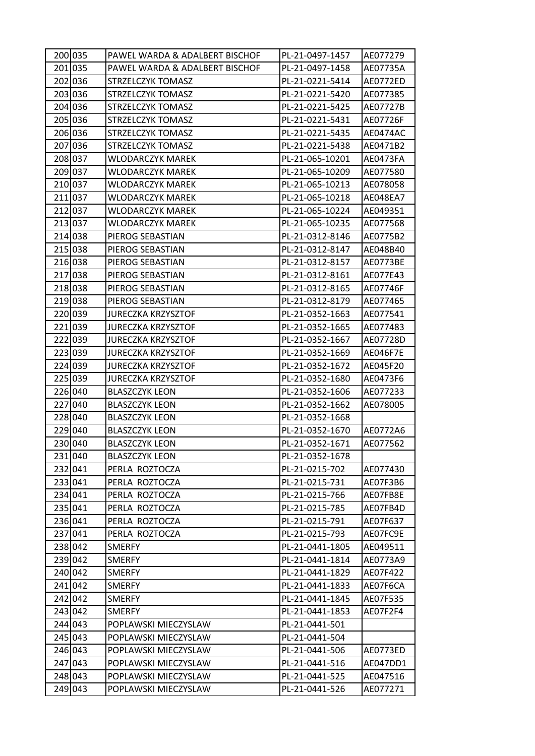| 200 035 | PAWEL WARDA & ADALBERT BISCHOF | PL-21-0497-1457 | AE077279        |
|---------|--------------------------------|-----------------|-----------------|
| 201 035 | PAWEL WARDA & ADALBERT BISCHOF | PL-21-0497-1458 | AE07735A        |
| 202 036 | STRZELCZYK TOMASZ              | PL-21-0221-5414 | AE0772ED        |
| 203 036 | STRZELCZYK TOMASZ              | PL-21-0221-5420 | AE077385        |
| 204 036 | STRZELCZYK TOMASZ              | PL-21-0221-5425 | AE07727B        |
| 205 036 | STRZELCZYK TOMASZ              | PL-21-0221-5431 | AE07726F        |
| 206 036 | STRZELCZYK TOMASZ              | PL-21-0221-5435 | AE0474AC        |
| 207 036 | STRZELCZYK TOMASZ              | PL-21-0221-5438 | AE0471B2        |
| 208 037 | WLODARCZYK MAREK               | PL-21-065-10201 | AE0473FA        |
| 209 037 | <b>WLODARCZYK MAREK</b>        | PL-21-065-10209 | AE077580        |
| 210 037 | WLODARCZYK MAREK               | PL-21-065-10213 | AE078058        |
| 211 037 | WLODARCZYK MAREK               | PL-21-065-10218 | AE048EA7        |
| 212 037 | <b>WLODARCZYK MAREK</b>        | PL-21-065-10224 | AE049351        |
| 213 037 | <b>WLODARCZYK MAREK</b>        | PL-21-065-10235 | AE077568        |
| 214 038 | PIEROG SEBASTIAN               | PL-21-0312-8146 | AE0775B2        |
| 215 038 | PIEROG SEBASTIAN               | PL-21-0312-8147 | AE048B40        |
| 216 038 | PIEROG SEBASTIAN               | PL-21-0312-8157 | AE0773BE        |
| 217 038 | PIEROG SEBASTIAN               | PL-21-0312-8161 | AE077E43        |
| 218 038 | PIEROG SEBASTIAN               | PL-21-0312-8165 | AE07746F        |
| 219 038 | PIEROG SEBASTIAN               | PL-21-0312-8179 | AE077465        |
| 220 039 | <b>JURECZKA KRZYSZTOF</b>      | PL-21-0352-1663 | AE077541        |
| 221 039 | <b>JURECZKA KRZYSZTOF</b>      | PL-21-0352-1665 | AE077483        |
| 222 039 | <b>JURECZKA KRZYSZTOF</b>      | PL-21-0352-1667 | AE07728D        |
| 223 039 | <b>JURECZKA KRZYSZTOF</b>      | PL-21-0352-1669 | <b>AE046F7E</b> |
| 224 039 | <b>JURECZKA KRZYSZTOF</b>      | PL-21-0352-1672 | AE045F20        |
| 225 039 | <b>JURECZKA KRZYSZTOF</b>      | PL-21-0352-1680 | AE0473F6        |
| 226 040 | <b>BLASZCZYK LEON</b>          | PL-21-0352-1606 | AE077233        |
| 227 040 | <b>BLASZCZYK LEON</b>          | PL-21-0352-1662 | AE078005        |
| 228 040 | <b>BLASZCZYK LEON</b>          | PL-21-0352-1668 |                 |
| 229 040 | <b>BLASZCZYK LEON</b>          | PL-21-0352-1670 | AE0772A6        |
| 230 040 | <b>BLASZCZYK LEON</b>          | PL-21-0352-1671 | AE077562        |
| 231 040 | <b>BLASZCZYK LEON</b>          | PL-21-0352-1678 |                 |
| 232 041 | PERLA ROZTOCZA                 | PL-21-0215-702  | AE077430        |
| 233 041 | PERLA ROZTOCZA                 | PL-21-0215-731  | AE07F3B6        |
| 234 041 | PERLA ROZTOCZA                 | PL-21-0215-766  | AE07FB8E        |
| 235 041 | PERLA ROZTOCZA                 | PL-21-0215-785  | AE07FB4D        |
| 236 041 | PERLA ROZTOCZA                 | PL-21-0215-791  | AE07F637        |
| 237 041 | PERLA ROZTOCZA                 | PL-21-0215-793  | AE07FC9E        |
| 238 042 | <b>SMERFY</b>                  | PL-21-0441-1805 | AE049511        |
| 239 042 | <b>SMERFY</b>                  | PL-21-0441-1814 | AE0773A9        |
| 240 042 | <b>SMERFY</b>                  | PL-21-0441-1829 | AE07F422        |
| 241 042 | <b>SMERFY</b>                  | PL-21-0441-1833 | AE07F6CA        |
| 242 042 | <b>SMERFY</b>                  | PL-21-0441-1845 | AE07F535        |
| 243 042 | <b>SMERFY</b>                  | PL-21-0441-1853 | AE07F2F4        |
| 244 043 | POPLAWSKI MIECZYSLAW           | PL-21-0441-501  |                 |
| 245 043 | POPLAWSKI MIECZYSLAW           | PL-21-0441-504  |                 |
| 246 043 | POPLAWSKI MIECZYSLAW           | PL-21-0441-506  | AE0773ED        |
| 247 043 | POPLAWSKI MIECZYSLAW           | PL-21-0441-516  | AE047DD1        |
| 248 043 | POPLAWSKI MIECZYSLAW           | PL-21-0441-525  | AE047516        |
| 249 043 | POPLAWSKI MIECZYSLAW           | PL-21-0441-526  | AE077271        |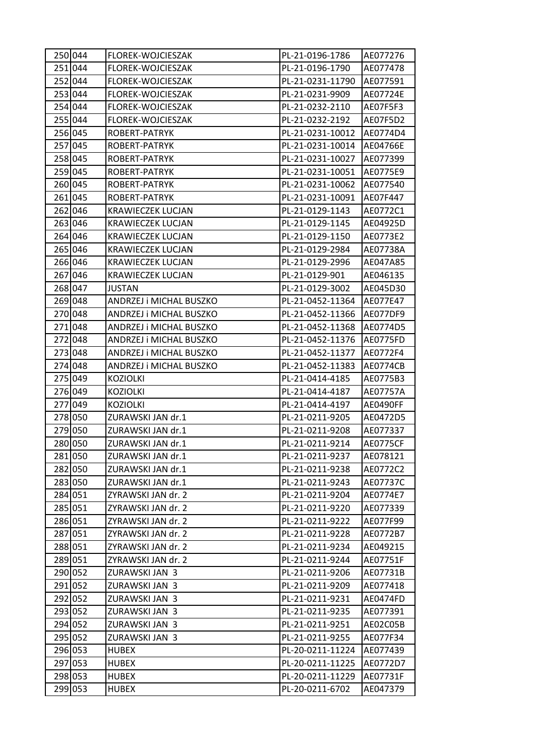| 250 044 | FLOREK-WOJCIESZAK        | PL-21-0196-1786  | AE077276        |
|---------|--------------------------|------------------|-----------------|
| 251 044 | FLOREK-WOJCIESZAK        | PL-21-0196-1790  | AE077478        |
| 252 044 | FLOREK-WOJCIESZAK        | PL-21-0231-11790 | AE077591        |
| 253 044 | FLOREK-WOJCIESZAK        | PL-21-0231-9909  | AE07724E        |
| 254 044 | FLOREK-WOJCIESZAK        | PL-21-0232-2110  | AE07F5F3        |
| 255 044 | FLOREK-WOJCIESZAK        | PL-21-0232-2192  | AE07F5D2        |
| 256 045 | ROBERT-PATRYK            | PL-21-0231-10012 | AE0774D4        |
| 257 045 | ROBERT-PATRYK            | PL-21-0231-10014 | AE04766E        |
| 258 045 | ROBERT-PATRYK            | PL-21-0231-10027 | AE077399        |
| 259 045 | ROBERT-PATRYK            | PL-21-0231-10051 | AE0775E9        |
| 260 045 | ROBERT-PATRYK            | PL-21-0231-10062 | AE077540        |
| 261 045 | ROBERT-PATRYK            | PL-21-0231-10091 | AE07F447        |
| 262 046 | KRAWIECZEK LUCJAN        | PL-21-0129-1143  | AE0772C1        |
| 263 046 | <b>KRAWIECZEK LUCJAN</b> | PL-21-0129-1145  | AE04925D        |
| 264 046 | <b>KRAWIECZEK LUCJAN</b> | PL-21-0129-1150  | AE0773E2        |
| 265 046 | <b>KRAWIECZEK LUCJAN</b> | PL-21-0129-2984  | AE07738A        |
| 266 046 | KRAWIECZEK LUCJAN        | PL-21-0129-2996  | AE047A85        |
| 267 046 | KRAWIECZEK LUCJAN        | PL-21-0129-901   | AE046135        |
| 268 047 | <b>JUSTAN</b>            | PL-21-0129-3002  | AE045D30        |
| 269 048 | ANDRZEJ i MICHAL BUSZKO  | PL-21-0452-11364 | AE077E47        |
| 270 048 | ANDRZEJ i MICHAL BUSZKO  | PL-21-0452-11366 | AE077DF9        |
| 271 048 | ANDRZEJ i MICHAL BUSZKO  | PL-21-0452-11368 | AE0774D5        |
| 272 048 | ANDRZEJ i MICHAL BUSZKO  | PL-21-0452-11376 | AE0775FD        |
| 273 048 | ANDRZEJ i MICHAL BUSZKO  | PL-21-0452-11377 | AE0772F4        |
| 274 048 | ANDRZEJ i MICHAL BUSZKO  | PL-21-0452-11383 | AE0774CB        |
| 275 049 | <b>KOZIOLKI</b>          | PL-21-0414-4185  | AE0775B3        |
| 276 049 | <b>KOZIOLKI</b>          | PL-21-0414-4187  | AE07757A        |
| 277 049 | <b>KOZIOLKI</b>          | PL-21-0414-4197  | AE0490FF        |
| 278 050 | ZURAWSKI JAN dr.1        | PL-21-0211-9205  | AE0472D5        |
| 279 050 | ZURAWSKI JAN dr.1        | PL-21-0211-9208  | AE077337        |
| 280 050 | ZURAWSKI JAN dr.1        | PL-21-0211-9214  | <b>AE0775CF</b> |
| 281 050 | ZURAWSKI JAN dr.1        | PL-21-0211-9237  | AE078121        |
| 282 050 | ZURAWSKI JAN dr.1        | PL-21-0211-9238  | AE0772C2        |
| 283 050 | ZURAWSKI JAN dr.1        | PL-21-0211-9243  | AE07737C        |
| 284 051 | ZYRAWSKI JAN dr. 2       | PL-21-0211-9204  | AE0774E7        |
| 285 051 | ZYRAWSKI JAN dr. 2       | PL-21-0211-9220  | AE077339        |
| 286 051 | ZYRAWSKI JAN dr. 2       | PL-21-0211-9222  | AE077F99        |
| 287 051 | ZYRAWSKI JAN dr. 2       | PL-21-0211-9228  | AE0772B7        |
| 288 051 | ZYRAWSKI JAN dr. 2       | PL-21-0211-9234  | AE049215        |
| 289 051 | ZYRAWSKI JAN dr. 2       | PL-21-0211-9244  | AE07751F        |
| 290 052 | ZURAWSKI JAN 3           | PL-21-0211-9206  | AE07731B        |
| 291 052 | ZURAWSKI JAN 3           | PL-21-0211-9209  | AE077418        |
| 292 052 | ZURAWSKI JAN 3           | PL-21-0211-9231  | AE0474FD        |
| 293 052 | ZURAWSKI JAN 3           | PL-21-0211-9235  | AE077391        |
| 294 052 | ZURAWSKI JAN 3           | PL-21-0211-9251  | AE02C05B        |
| 295 052 | ZURAWSKI JAN 3           | PL-21-0211-9255  | AE077F34        |
| 296 053 | <b>HUBEX</b>             | PL-20-0211-11224 | AE077439        |
| 297 053 | <b>HUBEX</b>             | PL-20-0211-11225 | AE0772D7        |
| 298 053 | <b>HUBEX</b>             | PL-20-0211-11229 | AE07731F        |
| 299 053 | <b>HUBEX</b>             | PL-20-0211-6702  | AE047379        |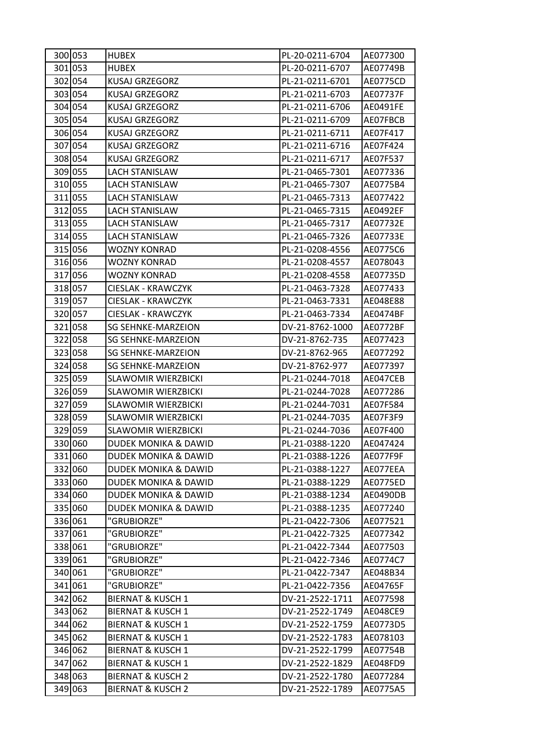| 300 053 | <b>HUBEX</b>                    | PL-20-0211-6704 | AE077300 |
|---------|---------------------------------|-----------------|----------|
| 301 053 | <b>HUBEX</b>                    | PL-20-0211-6707 | AE07749B |
| 302 054 | KUSAJ GRZEGORZ                  | PL-21-0211-6701 | AE0775CD |
| 303 054 | <b>KUSAJ GRZEGORZ</b>           | PL-21-0211-6703 | AE07737F |
| 304 054 | <b>KUSAJ GRZEGORZ</b>           | PL-21-0211-6706 | AE0491FE |
| 305 054 | <b>KUSAJ GRZEGORZ</b>           | PL-21-0211-6709 | AE07FBCB |
| 306 054 | <b>KUSAJ GRZEGORZ</b>           | PL-21-0211-6711 | AE07F417 |
| 307 054 | KUSAJ GRZEGORZ                  | PL-21-0211-6716 | AE07F424 |
| 308 054 | <b>KUSAJ GRZEGORZ</b>           | PL-21-0211-6717 | AE07F537 |
| 309 055 | <b>LACH STANISLAW</b>           | PL-21-0465-7301 | AE077336 |
| 310 055 | LACH STANISLAW                  | PL-21-0465-7307 | AE0775B4 |
| 311 055 | LACH STANISLAW                  | PL-21-0465-7313 | AE077422 |
| 312 055 | LACH STANISLAW                  | PL-21-0465-7315 | AE0492EF |
| 313 055 | <b>LACH STANISLAW</b>           | PL-21-0465-7317 | AE07732E |
| 314 055 | <b>LACH STANISLAW</b>           | PL-21-0465-7326 | AE07733E |
| 315 056 | WOZNY KONRAD                    | PL-21-0208-4556 | AE0775C6 |
| 316 056 | <b>WOZNY KONRAD</b>             | PL-21-0208-4557 | AE078043 |
| 317 056 | <b>WOZNY KONRAD</b>             | PL-21-0208-4558 | AE07735D |
| 318 057 | <b>CIESLAK - KRAWCZYK</b>       | PL-21-0463-7328 | AE077433 |
| 319 057 | CIESLAK - KRAWCZYK              | PL-21-0463-7331 | AE048E88 |
| 320 057 | CIESLAK - KRAWCZYK              | PL-21-0463-7334 | AE0474BF |
| 321 058 | <b>SG SEHNKE-MARZEION</b>       | DV-21-8762-1000 | AE0772BF |
| 322 058 | <b>SG SEHNKE-MARZEION</b>       | DV-21-8762-735  | AE077423 |
| 323 058 | <b>SG SEHNKE-MARZEION</b>       | DV-21-8762-965  | AE077292 |
| 324 058 | <b>SG SEHNKE-MARZEION</b>       | DV-21-8762-977  | AE077397 |
| 325 059 | <b>SLAWOMIR WIERZBICKI</b>      | PL-21-0244-7018 | AE047CEB |
| 326 059 | <b>SLAWOMIR WIERZBICKI</b>      | PL-21-0244-7028 | AE077286 |
| 327 059 | <b>SLAWOMIR WIERZBICKI</b>      | PL-21-0244-7031 | AE07F584 |
| 328 059 | <b>SLAWOMIR WIERZBICKI</b>      | PL-21-0244-7035 | AE07F3F9 |
| 329 059 | <b>SLAWOMIR WIERZBICKI</b>      | PL-21-0244-7036 | AE07F400 |
| 330 060 | DUDEK MONIKA & DAWID            | PL-21-0388-1220 | AE047424 |
| 331 060 | DUDEK MONIKA & DAWID            | PL-21-0388-1226 | AE077F9F |
| 332 060 | DUDEK MONIKA & DAWID            | PL-21-0388-1227 | AE077EEA |
| 333 060 | <b>DUDEK MONIKA &amp; DAWID</b> | PL-21-0388-1229 | AE0775ED |
| 334 060 | <b>DUDEK MONIKA &amp; DAWID</b> | PL-21-0388-1234 | AE0490DB |
| 335 060 | DUDEK MONIKA & DAWID            | PL-21-0388-1235 | AE077240 |
| 336 061 | "GRUBIORZE"                     | PL-21-0422-7306 | AE077521 |
| 337 061 | "GRUBIORZE"                     | PL-21-0422-7325 | AE077342 |
| 338 061 | "GRUBIORZE"                     | PL-21-0422-7344 | AE077503 |
| 339 061 | "GRUBIORZE"                     | PL-21-0422-7346 | AE0774C7 |
| 340 061 | "GRUBIORZE"                     | PL-21-0422-7347 | AE048B34 |
| 341 061 | "GRUBIORZE"                     | PL-21-0422-7356 | AE04765F |
| 342 062 | <b>BIERNAT &amp; KUSCH 1</b>    | DV-21-2522-1711 | AE077598 |
| 343 062 | <b>BIERNAT &amp; KUSCH 1</b>    | DV-21-2522-1749 | AE048CE9 |
| 344 062 | <b>BIERNAT &amp; KUSCH 1</b>    | DV-21-2522-1759 | AE0773D5 |
| 345 062 | <b>BIERNAT &amp; KUSCH 1</b>    | DV-21-2522-1783 | AE078103 |
| 346 062 | <b>BIERNAT &amp; KUSCH 1</b>    | DV-21-2522-1799 | AE07754B |
| 347 062 | <b>BIERNAT &amp; KUSCH 1</b>    | DV-21-2522-1829 | AE048FD9 |
| 348 063 | <b>BIERNAT &amp; KUSCH 2</b>    | DV-21-2522-1780 | AE077284 |
| 349 063 | <b>BIERNAT &amp; KUSCH 2</b>    | DV-21-2522-1789 | AE0775A5 |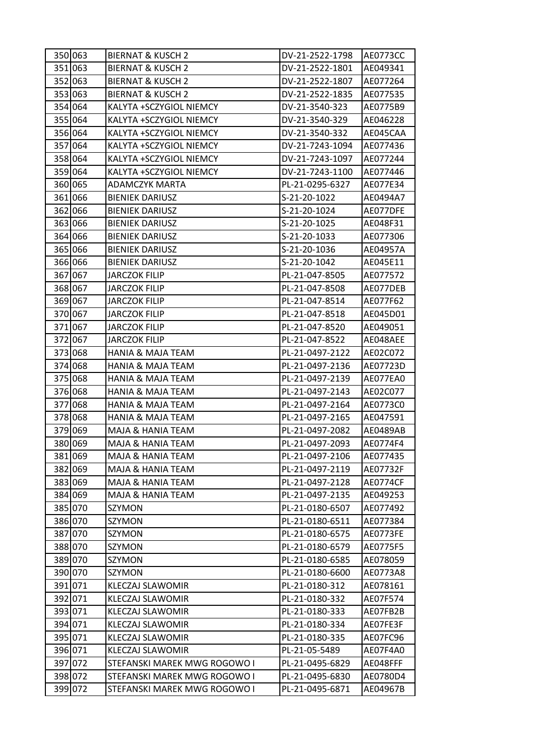| 350 063 | <b>BIERNAT &amp; KUSCH 2</b> | DV-21-2522-1798 | AE0773CC |
|---------|------------------------------|-----------------|----------|
| 351 063 | <b>BIERNAT &amp; KUSCH 2</b> | DV-21-2522-1801 | AE049341 |
| 352 063 | <b>BIERNAT &amp; KUSCH 2</b> | DV-21-2522-1807 | AE077264 |
| 353 063 | <b>BIERNAT &amp; KUSCH 2</b> | DV-21-2522-1835 | AE077535 |
| 354 064 | KALYTA +SCZYGIOL NIEMCY      | DV-21-3540-323  | AE0775B9 |
| 355 064 | KALYTA +SCZYGIOL NIEMCY      | DV-21-3540-329  | AE046228 |
| 356 064 | KALYTA +SCZYGIOL NIEMCY      | DV-21-3540-332  | AE045CAA |
| 357 064 | KALYTA +SCZYGIOL NIEMCY      | DV-21-7243-1094 | AE077436 |
| 358 064 | KALYTA +SCZYGIOL NIEMCY      | DV-21-7243-1097 | AE077244 |
| 359 064 | KALYTA +SCZYGIOL NIEMCY      | DV-21-7243-1100 | AE077446 |
| 360 065 | ADAMCZYK MARTA               | PL-21-0295-6327 | AE077E34 |
| 361 066 | <b>BIENIEK DARIUSZ</b>       | S-21-20-1022    | AE0494A7 |
| 362 066 | <b>BIENIEK DARIUSZ</b>       | S-21-20-1024    | AE077DFE |
| 363 066 | <b>BIENIEK DARIUSZ</b>       | S-21-20-1025    | AE048F31 |
| 364 066 | <b>BIENIEK DARIUSZ</b>       | S-21-20-1033    | AE077306 |
| 365 066 | <b>BIENIEK DARIUSZ</b>       | S-21-20-1036    | AE04957A |
| 366 066 | <b>BIENIEK DARIUSZ</b>       | S-21-20-1042    | AE045E11 |
| 367 067 | <b>JARCZOK FILIP</b>         | PL-21-047-8505  | AE077572 |
| 368 067 | JARCZOK FILIP                | PL-21-047-8508  | AE077DEB |
| 369 067 | <b>JARCZOK FILIP</b>         | PL-21-047-8514  | AE077F62 |
| 370 067 | JARCZOK FILIP                | PL-21-047-8518  | AE045D01 |
| 371 067 | <b>JARCZOK FILIP</b>         | PL-21-047-8520  | AE049051 |
| 372 067 | <b>JARCZOK FILIP</b>         | PL-21-047-8522  | AE048AEE |
| 373 068 | <b>HANIA &amp; MAJA TEAM</b> | PL-21-0497-2122 | AE02C072 |
| 374 068 | HANIA & MAJA TEAM            | PL-21-0497-2136 | AE07723D |
| 375 068 | HANIA & MAJA TEAM            | PL-21-0497-2139 | AE077EA0 |
| 376 068 | <b>HANIA &amp; MAJA TEAM</b> | PL-21-0497-2143 | AE02C077 |
| 377 068 | <b>HANIA &amp; MAJA TEAM</b> | PL-21-0497-2164 | AE0773C0 |
| 378 068 | HANIA & MAJA TEAM            | PL-21-0497-2165 | AE047591 |
| 379 069 | MAJA & HANIA TEAM            | PL-21-0497-2082 | AE0489AB |
| 380 069 | MAJA & HANIA TEAM            | PL-21-0497-2093 | AE0774F4 |
| 381 069 | MAJA & HANIA TEAM            | PL-21-0497-2106 | AE077435 |
| 382 069 | MAJA & HANIA TEAM            | PL-21-0497-2119 | AE07732F |
| 383 069 | MAJA & HANIA TEAM            | PL-21-0497-2128 | AE0774CF |
| 384 069 | MAJA & HANIA TEAM            | PL-21-0497-2135 | AE049253 |
| 385 070 | SZYMON                       | PL-21-0180-6507 | AE077492 |
| 386 070 | SZYMON                       | PL-21-0180-6511 | AE077384 |
| 387 070 | SZYMON                       | PL-21-0180-6575 | AE0773FE |
| 388 070 | SZYMON                       | PL-21-0180-6579 | AE0775F5 |
| 389 070 | SZYMON                       | PL-21-0180-6585 | AE078059 |
| 390 070 | SZYMON                       | PL-21-0180-6600 | AE0773A8 |
| 391 071 | KLECZAJ SLAWOMIR             | PL-21-0180-312  | AE078161 |
| 392 071 | KLECZAJ SLAWOMIR             | PL-21-0180-332  | AE07F574 |
| 393 071 | KLECZAJ SLAWOMIR             | PL-21-0180-333  | AE07FB2B |
| 394 071 | <b>KLECZAJ SLAWOMIR</b>      | PL-21-0180-334  | AE07FE3F |
| 395 071 | KLECZAJ SLAWOMIR             | PL-21-0180-335  | AE07FC96 |
| 396 071 | KLECZAJ SLAWOMIR             | PL-21-05-5489   | AE07F4A0 |
| 397 072 | STEFANSKI MAREK MWG ROGOWO I | PL-21-0495-6829 | AE048FFF |
| 398 072 | STEFANSKI MAREK MWG ROGOWO I | PL-21-0495-6830 | AE0780D4 |
| 399 072 | STEFANSKI MAREK MWG ROGOWO I | PL-21-0495-6871 | AE04967B |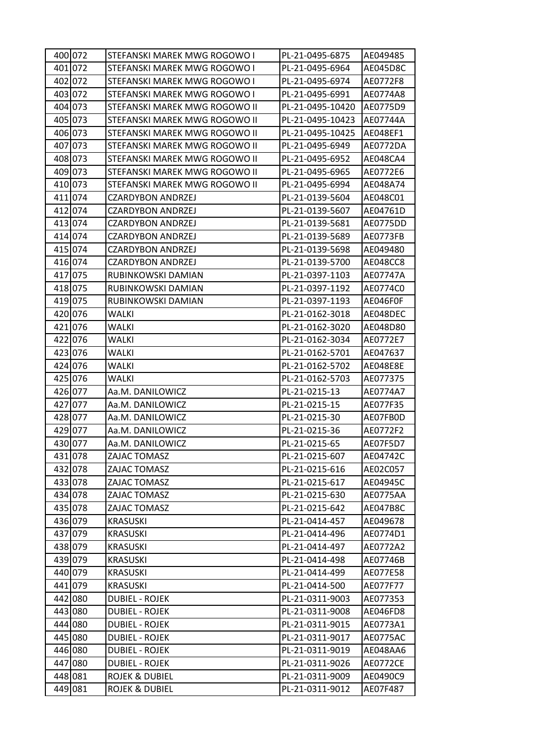| 400 072 | STEFANSKI MAREK MWG ROGOWO I  | PL-21-0495-6875  | AE049485 |
|---------|-------------------------------|------------------|----------|
| 401 072 | STEFANSKI MAREK MWG ROGOWO I  | PL-21-0495-6964  | AE045D8C |
| 402 072 | STEFANSKI MAREK MWG ROGOWO I  | PL-21-0495-6974  | AE0772F8 |
| 403 072 | STEFANSKI MAREK MWG ROGOWO I  | PL-21-0495-6991  | AE0774A8 |
| 404 073 | STEFANSKI MAREK MWG ROGOWO II | PL-21-0495-10420 | AE0775D9 |
| 405 073 | STEFANSKI MAREK MWG ROGOWO II | PL-21-0495-10423 | AE07744A |
| 406 073 | STEFANSKI MAREK MWG ROGOWO II | PL-21-0495-10425 | AE048EF1 |
| 407 073 | STEFANSKI MAREK MWG ROGOWO II | PL-21-0495-6949  | AE0772DA |
| 408 073 | STEFANSKI MAREK MWG ROGOWO II | PL-21-0495-6952  | AE048CA4 |
| 409 073 | STEFANSKI MAREK MWG ROGOWO II | PL-21-0495-6965  | AE0772E6 |
| 410 073 | STEFANSKI MAREK MWG ROGOWO II | PL-21-0495-6994  | AE048A74 |
| 411 074 | CZARDYBON ANDRZEJ             | PL-21-0139-5604  | AE048C01 |
| 412 074 | <b>CZARDYBON ANDRZEJ</b>      | PL-21-0139-5607  | AE04761D |
| 413 074 | CZARDYBON ANDRZEJ             | PL-21-0139-5681  | AE0775DD |
| 414 074 | <b>CZARDYBON ANDRZEJ</b>      | PL-21-0139-5689  | AE0773FB |
| 415 074 | <b>CZARDYBON ANDRZEJ</b>      | PL-21-0139-5698  | AE049480 |
| 416 074 | <b>CZARDYBON ANDRZEJ</b>      | PL-21-0139-5700  | AE048CC8 |
| 417 075 | RUBINKOWSKI DAMIAN            | PL-21-0397-1103  | AE07747A |
| 418 075 | RUBINKOWSKI DAMIAN            | PL-21-0397-1192  | AE0774C0 |
| 419 075 | RUBINKOWSKI DAMIAN            | PL-21-0397-1193  | AE046F0F |
| 420 076 | WALKI                         | PL-21-0162-3018  | AE048DEC |
| 421 076 | WALKI                         | PL-21-0162-3020  | AE048D80 |
| 422 076 | <b>WALKI</b>                  | PL-21-0162-3034  | AE0772E7 |
| 423 076 | WALKI                         | PL-21-0162-5701  | AE047637 |
| 424 076 | WALKI                         | PL-21-0162-5702  | AE048E8E |
| 425 076 | WALKI                         | PL-21-0162-5703  | AE077375 |
| 426 077 | Aa.M. DANILOWICZ              | PL-21-0215-13    | AE0774A7 |
| 427 077 | Aa.M. DANILOWICZ              | PL-21-0215-15    | AE077F35 |
| 428 077 | Aa.M. DANILOWICZ              | PL-21-0215-30    | AE07FB0D |
| 429 077 | Aa.M. DANILOWICZ              | PL-21-0215-36    | AE0772F2 |
| 430 077 | Aa.M. DANILOWICZ              | PL-21-0215-65    | AE07F5D7 |
| 431 078 | ZAJAC TOMASZ                  | PL-21-0215-607   | AE04742C |
| 432 078 | ZAJAC TOMASZ                  | PL-21-0215-616   | AE02C057 |
| 433 078 | ZAJAC TOMASZ                  | PL-21-0215-617   | AE04945C |
| 434 078 | ZAJAC TOMASZ                  | PL-21-0215-630   | AE0775AA |
| 435 078 | ZAJAC TOMASZ                  | PL-21-0215-642   | AE047B8C |
| 436 079 | <b>KRASUSKI</b>               | PL-21-0414-457   | AE049678 |
| 437 079 | <b>KRASUSKI</b>               | PL-21-0414-496   | AE0774D1 |
| 438 079 | KRASUSKI                      | PL-21-0414-497   | AE0772A2 |
| 439 079 | KRASUSKI                      | PL-21-0414-498   | AE07746B |
| 440 079 | KRASUSKI                      | PL-21-0414-499   | AE077E58 |
| 441 079 | <b>KRASUSKI</b>               | PL-21-0414-500   | AE077F77 |
| 442 080 | DUBIEL - ROJEK                | PL-21-0311-9003  | AE077353 |
| 443 080 | DUBIEL - ROJEK                | PL-21-0311-9008  | AE046FD8 |
| 444 080 | <b>DUBIEL - ROJEK</b>         | PL-21-0311-9015  | AE0773A1 |
| 445 080 | <b>DUBIEL - ROJEK</b>         | PL-21-0311-9017  | AE0775AC |
| 446 080 | <b>DUBIEL - ROJEK</b>         | PL-21-0311-9019  | AE048AA6 |
| 447 080 | <b>DUBIEL - ROJEK</b>         | PL-21-0311-9026  | AE0772CE |
| 448 081 | ROJEK & DUBIEL                | PL-21-0311-9009  | AE0490C9 |
| 449 081 | ROJEK & DUBIEL                | PL-21-0311-9012  | AE07F487 |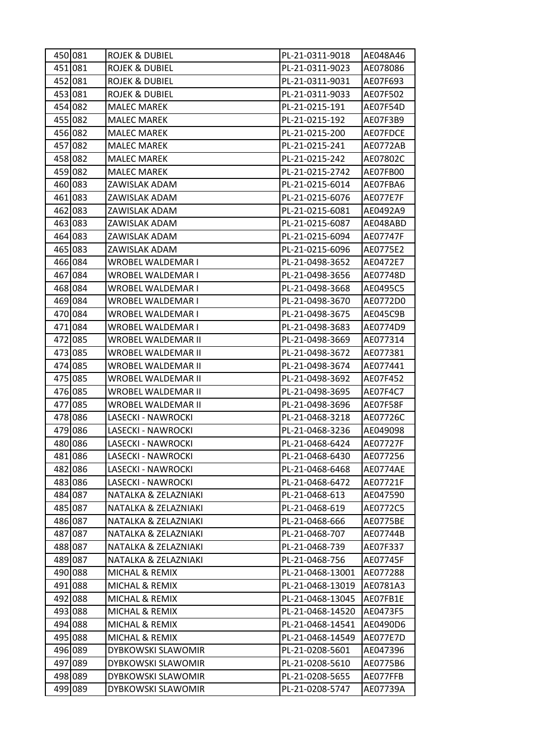| 450 081 | <b>ROJEK &amp; DUBIEL</b> | PL-21-0311-9018  | AE048A46 |
|---------|---------------------------|------------------|----------|
| 451 081 | <b>ROJEK &amp; DUBIEL</b> | PL-21-0311-9023  | AE078086 |
| 452 081 | ROJEK & DUBIEL            | PL-21-0311-9031  | AE07F693 |
| 453 081 | <b>ROJEK &amp; DUBIEL</b> | PL-21-0311-9033  | AE07F502 |
| 454 082 | <b>MALEC MAREK</b>        | PL-21-0215-191   | AE07F54D |
| 455 082 | <b>MALEC MAREK</b>        | PL-21-0215-192   | AE07F3B9 |
| 456 082 | <b>MALEC MAREK</b>        | PL-21-0215-200   | AE07FDCE |
| 457 082 | <b>MALEC MAREK</b>        | PL-21-0215-241   | AE0772AB |
| 458 082 | <b>MALEC MAREK</b>        | PL-21-0215-242   | AE07802C |
| 459 082 | <b>MALEC MAREK</b>        | PL-21-0215-2742  | AE07FB00 |
| 460 083 | ZAWISLAK ADAM             | PL-21-0215-6014  | AE07FBA6 |
| 461 083 | ZAWISLAK ADAM             | PL-21-0215-6076  | AE077E7F |
| 462 083 | ZAWISLAK ADAM             | PL-21-0215-6081  | AE0492A9 |
| 463 083 | ZAWISLAK ADAM             | PL-21-0215-6087  | AE048ABD |
| 464 083 | ZAWISLAK ADAM             | PL-21-0215-6094  | AE07747F |
| 465 083 | ZAWISLAK ADAM             | PL-21-0215-6096  | AE0775E2 |
| 466 084 | WROBEL WALDEMAR I         | PL-21-0498-3652  | AE0472E7 |
| 467 084 | WROBEL WALDEMAR I         | PL-21-0498-3656  | AE07748D |
| 468 084 | WROBEL WALDEMAR I         | PL-21-0498-3668  | AE0495C5 |
| 469 084 | <b>WROBEL WALDEMAR I</b>  | PL-21-0498-3670  | AE0772D0 |
| 470 084 | WROBEL WALDEMAR I         | PL-21-0498-3675  | AE045C9B |
| 471 084 | WROBEL WALDEMAR I         | PL-21-0498-3683  | AE0774D9 |
| 472 085 | WROBEL WALDEMAR II        | PL-21-0498-3669  | AE077314 |
| 473 085 | WROBEL WALDEMAR II        | PL-21-0498-3672  | AE077381 |
| 474 085 | WROBEL WALDEMAR II        | PL-21-0498-3674  | AE077441 |
| 475 085 | WROBEL WALDEMAR II        | PL-21-0498-3692  | AE07F452 |
| 476 085 | WROBEL WALDEMAR II        | PL-21-0498-3695  | AE07F4C7 |
| 477 085 | WROBEL WALDEMAR II        | PL-21-0498-3696  | AE07F58F |
| 478 086 | LASECKI - NAWROCKI        | PL-21-0468-3218  | AE07726C |
| 479 086 | LASECKI - NAWROCKI        | PL-21-0468-3236  | AE049098 |
| 480 086 | LASECKI - NAWROCKI        | PL-21-0468-6424  | AE07727F |
| 481 086 | LASECKI - NAWROCKI        | PL-21-0468-6430  | AE077256 |
| 482 086 | LASECKI - NAWROCKI        | PL-21-0468-6468  | AE0774AE |
| 483 086 | LASECKI - NAWROCKI        | PL-21-0468-6472  | AE07721F |
| 484 087 | NATALKA & ZELAZNIAKI      | PL-21-0468-613   | AE047590 |
| 485 087 | NATALKA & ZELAZNIAKI      | PL-21-0468-619   | AE0772C5 |
| 486 087 | NATALKA & ZELAZNIAKI      | PL-21-0468-666   | AE0775BE |
| 487 087 | NATALKA & ZELAZNIAKI      | PL-21-0468-707   | AE07744B |
| 488 087 | NATALKA & ZELAZNIAKI      | PL-21-0468-739   | AE07F337 |
| 489 087 | NATALKA & ZELAZNIAKI      | PL-21-0468-756   | AE07745F |
| 490 088 | MICHAL & REMIX            | PL-21-0468-13001 | AE077288 |
| 491 088 | MICHAL & REMIX            | PL-21-0468-13019 | AE0781A3 |
| 492 088 | MICHAL & REMIX            | PL-21-0468-13045 | AE07FB1E |
| 493 088 | MICHAL & REMIX            | PL-21-0468-14520 | AE0473F5 |
| 494 088 | MICHAL & REMIX            | PL-21-0468-14541 | AE0490D6 |
| 495 088 | MICHAL & REMIX            | PL-21-0468-14549 | AE077E7D |
| 496 089 | DYBKOWSKI SLAWOMIR        | PL-21-0208-5601  | AE047396 |
| 497 089 | DYBKOWSKI SLAWOMIR        | PL-21-0208-5610  | AE0775B6 |
| 498 089 | DYBKOWSKI SLAWOMIR        | PL-21-0208-5655  | AE077FFB |
| 499 089 | DYBKOWSKI SLAWOMIR        | PL-21-0208-5747  | AE07739A |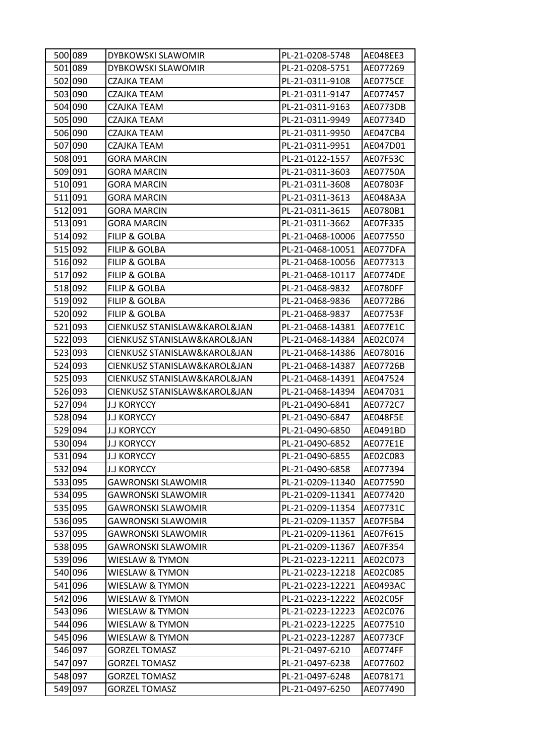| 500 089 | DYBKOWSKI SLAWOMIR           | PL-21-0208-5748  | AE048EE3        |
|---------|------------------------------|------------------|-----------------|
| 501 089 | DYBKOWSKI SLAWOMIR           | PL-21-0208-5751  | AE077269        |
| 502 090 | CZAJKA TEAM                  | PL-21-0311-9108  | <b>AE0775CE</b> |
| 503 090 | CZAJKA TEAM                  | PL-21-0311-9147  | AE077457        |
| 504 090 | CZAJKA TEAM                  | PL-21-0311-9163  | AE0773DB        |
| 505 090 | CZAJKA TEAM                  | PL-21-0311-9949  | AE07734D        |
| 506 090 | CZAJKA TEAM                  | PL-21-0311-9950  | AE047CB4        |
| 507 090 | CZAJKA TEAM                  | PL-21-0311-9951  | AE047D01        |
| 508 091 | GORA MARCIN                  | PL-21-0122-1557  | AE07F53C        |
| 509 091 | <b>GORA MARCIN</b>           | PL-21-0311-3603  | AE07750A        |
| 510 091 | GORA MARCIN                  | PL-21-0311-3608  | AE07803F        |
| 511 091 | <b>GORA MARCIN</b>           | PL-21-0311-3613  | AE048A3A        |
| 512 091 | <b>GORA MARCIN</b>           | PL-21-0311-3615  | AE0780B1        |
| 513 091 | GORA MARCIN                  | PL-21-0311-3662  | AE07F335        |
| 514 092 | <b>FILIP &amp; GOLBA</b>     | PL-21-0468-10006 | AE077550        |
| 515 092 | <b>FILIP &amp; GOLBA</b>     | PL-21-0468-10051 | AE077DFA        |
| 516 092 | <b>FILIP &amp; GOLBA</b>     | PL-21-0468-10056 | AE077313        |
| 517 092 | FILIP & GOLBA                | PL-21-0468-10117 | <b>AE0774DE</b> |
| 518 092 | <b>FILIP &amp; GOLBA</b>     | PL-21-0468-9832  | AE0780FF        |
| 519 092 | <b>FILIP &amp; GOLBA</b>     | PL-21-0468-9836  | AE0772B6        |
| 520 092 | FILIP & GOLBA                | PL-21-0468-9837  | AE07753F        |
| 521 093 | CIENKUSZ STANISLAW&KAROL&JAN | PL-21-0468-14381 | AE077E1C        |
| 522 093 | CIENKUSZ STANISLAW&KAROL&JAN | PL-21-0468-14384 | AE02C074        |
| 523 093 | CIENKUSZ STANISLAW&KAROL&JAN | PL-21-0468-14386 | AE078016        |
| 524 093 | CIENKUSZ STANISLAW&KAROL&JAN | PL-21-0468-14387 | AE07726B        |
| 525 093 | CIENKUSZ STANISLAW&KAROL&JAN | PL-21-0468-14391 | AE047524        |
| 526 093 | CIENKUSZ STANISLAW&KAROL&JAN | PL-21-0468-14394 | AE047031        |
| 527 094 | <b>J.J KORYCCY</b>           | PL-21-0490-6841  | AE0772C7        |
| 528 094 | <b>J.J KORYCCY</b>           | PL-21-0490-6847  | <b>AE048F5E</b> |
| 529 094 | <b>J.J KORYCCY</b>           | PL-21-0490-6850  | AE0491BD        |
| 530 094 | J.J KORYCCY                  | PL-21-0490-6852  | AE077E1E        |
| 531 094 | <b>J.J KORYCCY</b>           | PL-21-0490-6855  | AE02C083        |
| 532 094 | <b>J.J KORYCCY</b>           | PL-21-0490-6858  | AE077394        |
| 533 095 | <b>GAWRONSKI SLAWOMIR</b>    | PL-21-0209-11340 | AE077590        |
| 534 095 | <b>GAWRONSKI SLAWOMIR</b>    | PL-21-0209-11341 | AE077420        |
| 535 095 | GAWRONSKI SLAWOMIR           | PL-21-0209-11354 | AE07731C        |
| 536 095 | <b>GAWRONSKI SLAWOMIR</b>    | PL-21-0209-11357 | AE07F5B4        |
| 537 095 | <b>GAWRONSKI SLAWOMIR</b>    | PL-21-0209-11361 | AE07F615        |
| 538 095 | <b>GAWRONSKI SLAWOMIR</b>    | PL-21-0209-11367 | AE07F354        |
| 539 096 | WIESLAW & TYMON              | PL-21-0223-12211 | AE02C073        |
| 540 096 | WIESLAW & TYMON              | PL-21-0223-12218 | AE02C085        |
| 541 096 | WIESLAW & TYMON              | PL-21-0223-12221 | AE0493AC        |
| 542 096 | WIESLAW & TYMON              | PL-21-0223-12222 | AE02C05F        |
| 543 096 | WIESLAW & TYMON              | PL-21-0223-12223 | AE02C076        |
| 544 096 | WIESLAW & TYMON              | PL-21-0223-12225 | AE077510        |
| 545 096 | WIESLAW & TYMON              | PL-21-0223-12287 | AE0773CF        |
| 546 097 | <b>GORZEL TOMASZ</b>         | PL-21-0497-6210  | AE0774FF        |
| 547 097 | <b>GORZEL TOMASZ</b>         | PL-21-0497-6238  | AE077602        |
| 548 097 | <b>GORZEL TOMASZ</b>         | PL-21-0497-6248  | AE078171        |
| 549 097 | <b>GORZEL TOMASZ</b>         | PL-21-0497-6250  | AE077490        |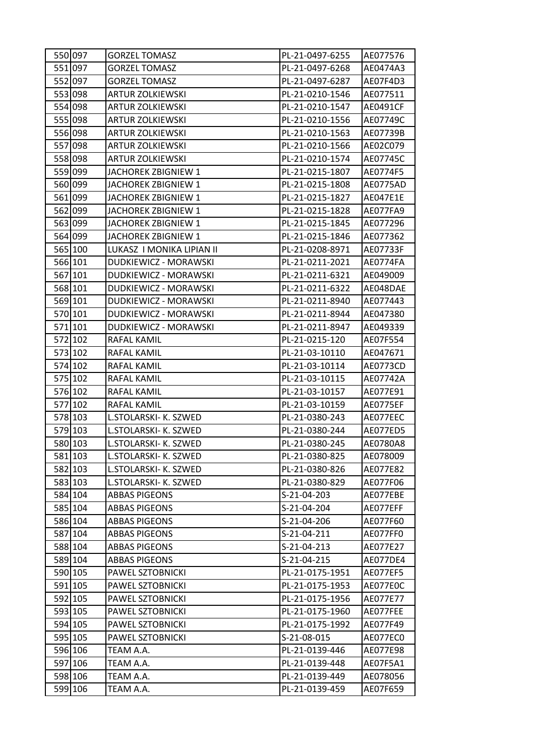| 550 097 | <b>GORZEL TOMASZ</b>      | PL-21-0497-6255 | AE077576 |
|---------|---------------------------|-----------------|----------|
| 551 097 | <b>GORZEL TOMASZ</b>      | PL-21-0497-6268 | AE0474A3 |
| 552 097 | <b>GORZEL TOMASZ</b>      | PL-21-0497-6287 | AE07F4D3 |
| 553 098 | <b>ARTUR ZOLKIEWSKI</b>   | PL-21-0210-1546 | AE077511 |
| 554 098 | <b>ARTUR ZOLKIEWSKI</b>   | PL-21-0210-1547 | AE0491CF |
| 555 098 | <b>ARTUR ZOLKIEWSKI</b>   | PL-21-0210-1556 | AE07749C |
| 556 098 | <b>ARTUR ZOLKIEWSKI</b>   | PL-21-0210-1563 | AE07739B |
| 557 098 | <b>ARTUR ZOLKIEWSKI</b>   | PL-21-0210-1566 | AE02C079 |
| 558 098 | <b>ARTUR ZOLKIEWSKI</b>   | PL-21-0210-1574 | AE07745C |
| 559 099 | JACHOREK ZBIGNIEW 1       | PL-21-0215-1807 | AE0774F5 |
| 560 099 | JACHOREK ZBIGNIEW 1       | PL-21-0215-1808 | AE0775AD |
| 561 099 | JACHOREK ZBIGNIEW 1       | PL-21-0215-1827 | AE047E1E |
| 562 099 | JACHOREK ZBIGNIEW 1       | PL-21-0215-1828 | AE077FA9 |
| 563 099 | JACHOREK ZBIGNIEW 1       | PL-21-0215-1845 | AE077296 |
| 564 099 | JACHOREK ZBIGNIEW 1       | PL-21-0215-1846 | AE077362 |
| 565 100 | LUKASZ I MONIKA LIPIAN II | PL-21-0208-8971 | AE07733F |
| 566 101 | DUDKIEWICZ - MORAWSKI     | PL-21-0211-2021 | AE0774FA |
| 567 101 | DUDKIEWICZ - MORAWSKI     | PL-21-0211-6321 | AE049009 |
| 568 101 | DUDKIEWICZ - MORAWSKI     | PL-21-0211-6322 | AE048DAE |
| 569 101 | DUDKIEWICZ - MORAWSKI     | PL-21-0211-8940 | AE077443 |
| 570 101 | DUDKIEWICZ - MORAWSKI     | PL-21-0211-8944 | AE047380 |
| 571 101 | DUDKIEWICZ - MORAWSKI     | PL-21-0211-8947 | AE049339 |
| 572 102 | RAFAL KAMIL               | PL-21-0215-120  | AE07F554 |
| 573 102 | RAFAL KAMIL               | PL-21-03-10110  | AE047671 |
| 574 102 | RAFAL KAMIL               | PL-21-03-10114  | AE0773CD |
| 575 102 | RAFAL KAMIL               | PL-21-03-10115  | AE07742A |
| 576 102 | RAFAL KAMIL               | PL-21-03-10157  | AE077E91 |
| 577 102 | RAFAL KAMIL               | PL-21-03-10159  | AE0775EF |
| 578 103 | L.STOLARSKI- K. SZWED     | PL-21-0380-243  | AE077EEC |
| 579 103 | L.STOLARSKI- K. SZWED     | PL-21-0380-244  | AE077ED5 |
| 580 103 | L.STOLARSKI- K. SZWED     | PL-21-0380-245  | AE0780A8 |
| 581 103 | L.STOLARSKI- K. SZWED     | PL-21-0380-825  | AE078009 |
| 582 103 | L.STOLARSKI- K. SZWED     | PL-21-0380-826  | AE077E82 |
| 583 103 | L.STOLARSKI- K. SZWED     | PL-21-0380-829  | AE077F06 |
| 584 104 | <b>ABBAS PIGEONS</b>      | S-21-04-203     | AE077EBE |
| 585 104 | <b>ABBAS PIGEONS</b>      | S-21-04-204     | AE077EFF |
| 586 104 | <b>ABBAS PIGEONS</b>      | S-21-04-206     | AE077F60 |
| 587 104 | ABBAS PIGEONS             | S-21-04-211     | AE077FF0 |
| 588 104 | <b>ABBAS PIGEONS</b>      | S-21-04-213     | AE077E27 |
| 589 104 | <b>ABBAS PIGEONS</b>      | S-21-04-215     | AE077DE4 |
| 590 105 | PAWEL SZTOBNICKI          | PL-21-0175-1951 | AE077EF5 |
| 591 105 | PAWEL SZTOBNICKI          | PL-21-0175-1953 | AE077E0C |
| 592 105 | PAWEL SZTOBNICKI          | PL-21-0175-1956 | AE077E77 |
| 593 105 | PAWEL SZTOBNICKI          | PL-21-0175-1960 | AE077FEE |
| 594 105 | PAWEL SZTOBNICKI          | PL-21-0175-1992 | AE077F49 |
| 595 105 | PAWEL SZTOBNICKI          | S-21-08-015     | AE077EC0 |
| 596 106 | TEAM A.A.                 | PL-21-0139-446  | AE077E98 |
| 597 106 | TEAM A.A.                 | PL-21-0139-448  | AE07F5A1 |
| 598 106 | TEAM A.A.                 | PL-21-0139-449  | AE078056 |
| 599 106 | TEAM A.A.                 | PL-21-0139-459  | AE07F659 |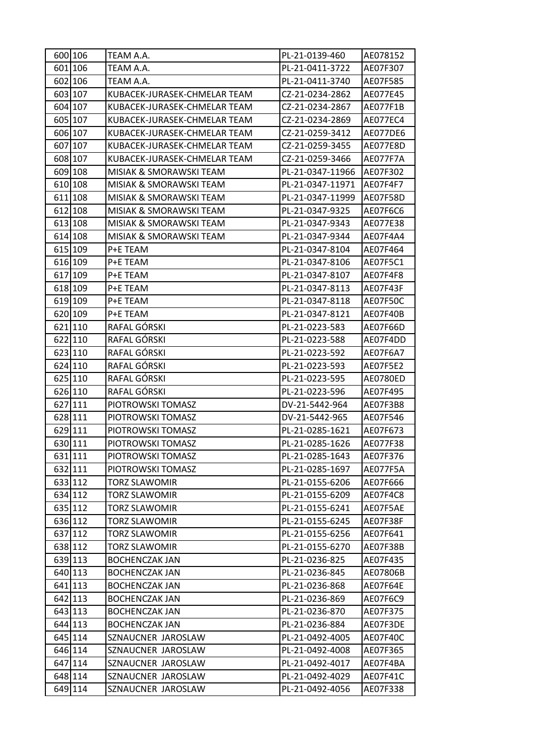| 600 106 | TEAM A.A.                    | PL-21-0139-460   | AE078152 |
|---------|------------------------------|------------------|----------|
| 601 106 | TEAM A.A.                    | PL-21-0411-3722  | AE07F307 |
| 602 106 | TEAM A.A.                    | PL-21-0411-3740  | AE07F585 |
| 603 107 | KUBACEK-JURASEK-CHMELAR TEAM | CZ-21-0234-2862  | AE077E45 |
| 604 107 | KUBACEK-JURASEK-CHMELAR TEAM | CZ-21-0234-2867  | AE077F1B |
| 605 107 | KUBACEK-JURASEK-CHMELAR TEAM | CZ-21-0234-2869  | AE077EC4 |
| 606 107 | KUBACEK-JURASEK-CHMELAR TEAM | CZ-21-0259-3412  | AE077DE6 |
| 607 107 | KUBACEK-JURASEK-CHMELAR TEAM | CZ-21-0259-3455  | AE077E8D |
| 608 107 | KUBACEK-JURASEK-CHMELAR TEAM | CZ-21-0259-3466  | AE077F7A |
| 609 108 | MISIAK & SMORAWSKI TEAM      | PL-21-0347-11966 | AE07F302 |
| 610 108 | MISIAK & SMORAWSKI TEAM      | PL-21-0347-11971 | AE07F4F7 |
| 611 108 | MISIAK & SMORAWSKI TEAM      | PL-21-0347-11999 | AE07F58D |
| 612 108 | MISIAK & SMORAWSKI TEAM      | PL-21-0347-9325  | AE07F6C6 |
| 613 108 | MISIAK & SMORAWSKI TEAM      | PL-21-0347-9343  | AE077E38 |
| 614 108 | MISIAK & SMORAWSKI TEAM      | PL-21-0347-9344  | AE07F4A4 |
| 615 109 | P+E TEAM                     | PL-21-0347-8104  | AE07F464 |
| 616 109 | P+E TEAM                     | PL-21-0347-8106  | AE07F5C1 |
| 617 109 | P+E TEAM                     | PL-21-0347-8107  | AE07F4F8 |
| 618 109 | P+E TEAM                     | PL-21-0347-8113  | AE07F43F |
| 619 109 | P+E TEAM                     | PL-21-0347-8118  | AE07F50C |
| 620 109 | P+E TEAM                     | PL-21-0347-8121  | AE07F40B |
| 621 110 | RAFAL GÓRSKI                 | PL-21-0223-583   | AE07F66D |
| 622 110 | RAFAL GÓRSKI                 | PL-21-0223-588   | AE07F4DD |
| 623 110 | RAFAL GÓRSKI                 | PL-21-0223-592   | AE07F6A7 |
| 624 110 | RAFAL GÓRSKI                 | PL-21-0223-593   | AE07F5E2 |
| 625 110 | RAFAL GÓRSKI                 | PL-21-0223-595   | AE0780ED |
| 626 110 | RAFAL GÓRSKI                 | PL-21-0223-596   | AE07F495 |
| 627 111 | PIOTROWSKI TOMASZ            | DV-21-5442-964   | AE07F3B8 |
| 628 111 | PIOTROWSKI TOMASZ            | DV-21-5442-965   | AE07F546 |
| 629 111 | PIOTROWSKI TOMASZ            | PL-21-0285-1621  | AE07F673 |
| 630 111 | PIOTROWSKI TOMASZ            | PL-21-0285-1626  | AE077F38 |
| 631 111 | PIOTROWSKI TOMASZ            | PL-21-0285-1643  | AE07F376 |
| 632 111 | PIOTROWSKI TOMASZ            | PL-21-0285-1697  | AE077F5A |
| 633 112 | TORZ SLAWOMIR                | PL-21-0155-6206  | AE07F666 |
| 634 112 | <b>TORZ SLAWOMIR</b>         | PL-21-0155-6209  | AE07F4C8 |
| 635 112 | TORZ SLAWOMIR                | PL-21-0155-6241  | AE07F5AE |
| 636 112 | <b>TORZ SLAWOMIR</b>         | PL-21-0155-6245  | AE07F38F |
| 637 112 | TORZ SLAWOMIR                | PL-21-0155-6256  | AE07F641 |
| 638 112 | TORZ SLAWOMIR                | PL-21-0155-6270  | AE07F38B |
| 639 113 | <b>BOCHENCZAK JAN</b>        | PL-21-0236-825   | AE07F435 |
| 640 113 | <b>BOCHENCZAK JAN</b>        | PL-21-0236-845   | AE07806B |
| 641 113 | <b>BOCHENCZAK JAN</b>        | PL-21-0236-868   | AE07F64E |
| 642 113 | <b>BOCHENCZAK JAN</b>        | PL-21-0236-869   | AE07F6C9 |
| 643 113 | <b>BOCHENCZAK JAN</b>        | PL-21-0236-870   | AE07F375 |
| 644 113 | <b>BOCHENCZAK JAN</b>        | PL-21-0236-884   | AE07F3DE |
| 645 114 | SZNAUCNER JAROSLAW           | PL-21-0492-4005  | AE07F40C |
| 646 114 | SZNAUCNER JAROSLAW           | PL-21-0492-4008  | AE07F365 |
| 647 114 | SZNAUCNER JAROSLAW           | PL-21-0492-4017  | AE07F4BA |
| 648 114 | SZNAUCNER JAROSLAW           | PL-21-0492-4029  | AE07F41C |
| 649 114 | SZNAUCNER JAROSLAW           | PL-21-0492-4056  | AE07F338 |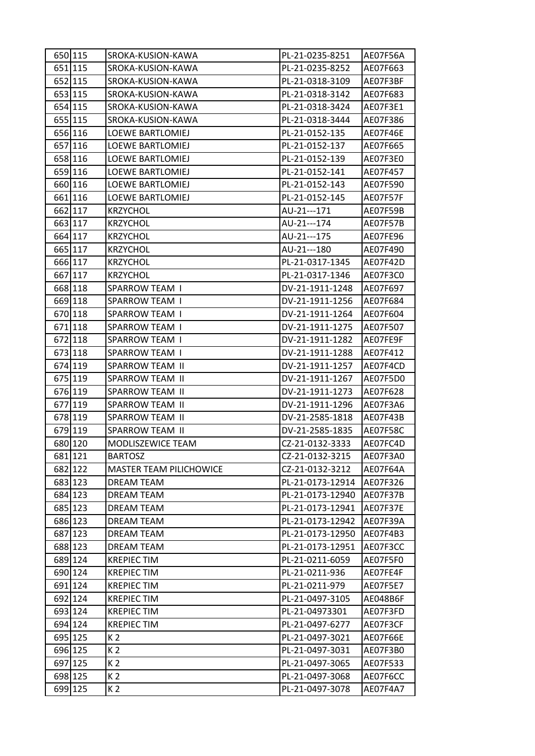| 650 115 | SROKA-KUSION-KAWA              | PL-21-0235-8251  | AE07F56A |
|---------|--------------------------------|------------------|----------|
| 651 115 | SROKA-KUSION-KAWA              | PL-21-0235-8252  | AE07F663 |
| 652 115 | SROKA-KUSION-KAWA              | PL-21-0318-3109  | AE07F3BF |
| 653 115 | SROKA-KUSION-KAWA              | PL-21-0318-3142  | AE07F683 |
| 654 115 | SROKA-KUSION-KAWA              | PL-21-0318-3424  | AE07F3E1 |
| 655 115 | SROKA-KUSION-KAWA              | PL-21-0318-3444  | AE07F386 |
| 656 116 | LOEWE BARTLOMIEJ               | PL-21-0152-135   | AE07F46E |
| 657 116 | <b>LOEWE BARTLOMIEJ</b>        | PL-21-0152-137   | AE07F665 |
| 658 116 | <b>LOEWE BARTLOMIEJ</b>        | PL-21-0152-139   | AE07F3E0 |
| 659 116 | <b>LOEWE BARTLOMIEJ</b>        | PL-21-0152-141   | AE07F457 |
| 660 116 | <b>LOEWE BARTLOMIEJ</b>        | PL-21-0152-143   | AE07F590 |
| 661 116 | <b>LOEWE BARTLOMIEJ</b>        | PL-21-0152-145   | AE07F57F |
| 662 117 | <b>KRZYCHOL</b>                | AU-21---171      | AE07F59B |
| 663 117 | <b>KRZYCHOL</b>                | AU-21---174      | AE07F57B |
| 664 117 | <b>KRZYCHOL</b>                | AU-21---175      | AE07FE96 |
| 665 117 | <b>KRZYCHOL</b>                | AU-21---180      | AE07F490 |
| 666 117 | <b>KRZYCHOL</b>                | PL-21-0317-1345  | AE07F42D |
| 667 117 | <b>KRZYCHOL</b>                | PL-21-0317-1346  | AE07F3C0 |
| 668 118 | <b>SPARROW TEAM I</b>          | DV-21-1911-1248  | AE07F697 |
| 669 118 | <b>SPARROW TEAM I</b>          | DV-21-1911-1256  | AE07F684 |
| 670 118 | SPARROW TEAM I                 | DV-21-1911-1264  | AE07F604 |
| 671 118 | SPARROW TEAM I                 | DV-21-1911-1275  | AE07F507 |
| 672 118 | SPARROW TEAM I                 | DV-21-1911-1282  | AE07FE9F |
| 673 118 | SPARROW TEAM I                 | DV-21-1911-1288  | AE07F412 |
| 674 119 | SPARROW TEAM II                | DV-21-1911-1257  | AE07F4CD |
| 675 119 | SPARROW TEAM II                | DV-21-1911-1267  | AE07F5D0 |
| 676 119 | SPARROW TEAM II                | DV-21-1911-1273  | AE07F628 |
| 677 119 | SPARROW TEAM II                | DV-21-1911-1296  | AE07F3A6 |
| 678 119 | SPARROW TEAM II                | DV-21-2585-1818  | AE07F43B |
| 679 119 | SPARROW TEAM II                | DV-21-2585-1835  | AE07F58C |
| 680 120 | MODLISZEWICE TEAM              | CZ-21-0132-3333  | AE07FC4D |
| 681 121 | <b>BARTOSZ</b>                 | CZ-21-0132-3215  | AE07F3A0 |
| 682 122 | <b>MASTER TEAM PILICHOWICE</b> | CZ-21-0132-3212  | AE07F64A |
| 683 123 | <b>DREAM TEAM</b>              | PL-21-0173-12914 | AE07F326 |
| 684 123 | <b>DREAM TEAM</b>              | PL-21-0173-12940 | AE07F37B |
| 685 123 | DREAM TEAM                     | PL-21-0173-12941 | AE07F37E |
| 686 123 | <b>DREAM TEAM</b>              | PL-21-0173-12942 | AE07F39A |
| 687 123 | DREAM TEAM                     | PL-21-0173-12950 | AE07F4B3 |
| 688 123 | <b>DREAM TEAM</b>              | PL-21-0173-12951 | AE07F3CC |
| 689 124 | <b>KREPIEC TIM</b>             | PL-21-0211-6059  | AE07F5F0 |
| 690 124 | <b>KREPIEC TIM</b>             | PL-21-0211-936   | AE07FE4F |
| 691 124 | <b>KREPIEC TIM</b>             | PL-21-0211-979   | AE07F5E7 |
| 692 124 | <b>KREPIECTIM</b>              | PL-21-0497-3105  | AE048B6F |
| 693 124 | <b>KREPIEC TIM</b>             | PL-21-04973301   | AE07F3FD |
| 694 124 | <b>KREPIEC TIM</b>             | PL-21-0497-6277  | AE07F3CF |
| 695 125 | K 2                            | PL-21-0497-3021  | AE07F66E |
| 696 125 | K 2                            | PL-21-0497-3031  | AE07F3B0 |
| 697 125 | K <sub>2</sub>                 | PL-21-0497-3065  | AE07F533 |
| 698 125 | K 2                            | PL-21-0497-3068  | AE07F6CC |
| 699 125 | K <sub>2</sub>                 | PL-21-0497-3078  | AE07F4A7 |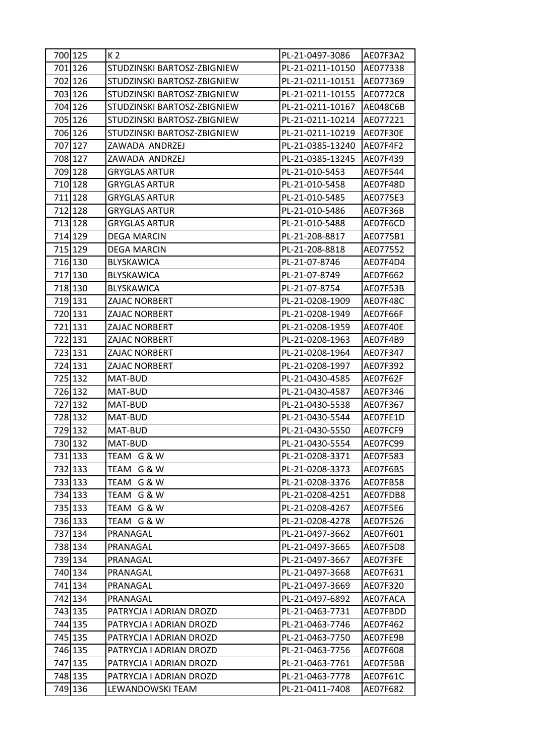| 700 125 | K 2                         | PL-21-0497-3086  | AE07F3A2        |
|---------|-----------------------------|------------------|-----------------|
| 701 126 | STUDZINSKI BARTOSZ-ZBIGNIEW | PL-21-0211-10150 | AE077338        |
| 702 126 | STUDZINSKI BARTOSZ-ZBIGNIEW | PL-21-0211-10151 | AE077369        |
| 703 126 | STUDZINSKI BARTOSZ-ZBIGNIEW | PL-21-0211-10155 | AE0772C8        |
| 704 126 | STUDZINSKI BARTOSZ-ZBIGNIEW | PL-21-0211-10167 | <b>AE048C6B</b> |
| 705 126 | STUDZINSKI BARTOSZ-ZBIGNIEW | PL-21-0211-10214 | AE077221        |
| 706 126 | STUDZINSKI BARTOSZ-ZBIGNIEW | PL-21-0211-10219 | AE07F30E        |
| 707 127 | ZAWADA ANDRZEJ              | PL-21-0385-13240 | AE07F4F2        |
| 708 127 | ZAWADA ANDRZEJ              | PL-21-0385-13245 | AE07F439        |
| 709 128 | <b>GRYGLAS ARTUR</b>        | PL-21-010-5453   | AE07F544        |
| 710 128 | GRYGLAS ARTUR               | PL-21-010-5458   | AE07F48D        |
| 711 128 | GRYGLAS ARTUR               | PL-21-010-5485   | AE0775E3        |
| 712 128 | GRYGLAS ARTUR               | PL-21-010-5486   | AE07F36B        |
| 713 128 | <b>GRYGLAS ARTUR</b>        | PL-21-010-5488   | AE07F6CD        |
| 714 129 | <b>DEGA MARCIN</b>          | PL-21-208-8817   | AE0775B1        |
| 715 129 | DEGA MARCIN                 | PL-21-208-8818   | AE077552        |
| 716 130 | BLYSKAWICA                  | PL-21-07-8746    | AE07F4D4        |
| 717 130 | <b>BLYSKAWICA</b>           | PL-21-07-8749    | AE07F662        |
| 718 130 | <b>BLYSKAWICA</b>           | PL-21-07-8754    | AE07F53B        |
| 719 131 | ZAJAC NORBERT               | PL-21-0208-1909  | <b>AE07F48C</b> |
| 720 131 | ZAJAC NORBERT               | PL-21-0208-1949  | AE07F66F        |
| 721 131 | ZAJAC NORBERT               | PL-21-0208-1959  | AE07F40E        |
| 722 131 | ZAJAC NORBERT               | PL-21-0208-1963  | AE07F4B9        |
| 723 131 | ZAJAC NORBERT               | PL-21-0208-1964  | AE07F347        |
| 724 131 | ZAJAC NORBERT               | PL-21-0208-1997  | AE07F392        |
| 725 132 | MAT-BUD                     | PL-21-0430-4585  | AE07F62F        |
| 726 132 | MAT-BUD                     | PL-21-0430-4587  | AE07F346        |
| 727 132 | MAT-BUD                     | PL-21-0430-5538  | AE07F367        |
| 728 132 | MAT-BUD                     | PL-21-0430-5544  | AE07FE1D        |
| 729 132 | MAT-BUD                     | PL-21-0430-5550  | AE07FCF9        |
| 730 132 | MAT-BUD                     | PL-21-0430-5554  | AE07FC99        |
| 731 133 | TEAM G & W                  | PL-21-0208-3371  | AE07F583        |
| 732 133 | TEAM G & W                  | PL-21-0208-3373  | AE07F6B5        |
| 733 133 | TEAM G & W                  | PL-21-0208-3376  | AE07FB58        |
| 734 133 | TEAM G & W                  | PL-21-0208-4251  | AE07FDB8        |
| 735 133 | TEAM G & W                  | PL-21-0208-4267  | AE07F5E6        |
| 736 133 | TEAM G & W                  | PL-21-0208-4278  | AE07F526        |
| 737 134 | PRANAGAL                    | PL-21-0497-3662  | AE07F601        |
| 738 134 | PRANAGAL                    | PL-21-0497-3665  | AE07F5D8        |
| 739 134 | PRANAGAL                    | PL-21-0497-3667  | AE07F3FE        |
| 740 134 | PRANAGAL                    | PL-21-0497-3668  | AE07F631        |
| 741 134 | PRANAGAL                    | PL-21-0497-3669  | AE07F320        |
| 742 134 | PRANAGAL                    | PL-21-0497-6892  | AE07FACA        |
| 743 135 | PATRYCJA I ADRIAN DROZD     | PL-21-0463-7731  | AE07FBDD        |
| 744 135 | PATRYCJA I ADRIAN DROZD     | PL-21-0463-7746  | AE07F462        |
| 745 135 | PATRYCJA I ADRIAN DROZD     | PL-21-0463-7750  | AE07FE9B        |
| 746 135 | PATRYCJA I ADRIAN DROZD     | PL-21-0463-7756  | AE07F608        |
| 747 135 | PATRYCJA I ADRIAN DROZD     | PL-21-0463-7761  | AE07F5BB        |
| 748 135 | PATRYCJA I ADRIAN DROZD     | PL-21-0463-7778  | AE07F61C        |
| 749 136 | LEWANDOWSKI TEAM            | PL-21-0411-7408  | AE07F682        |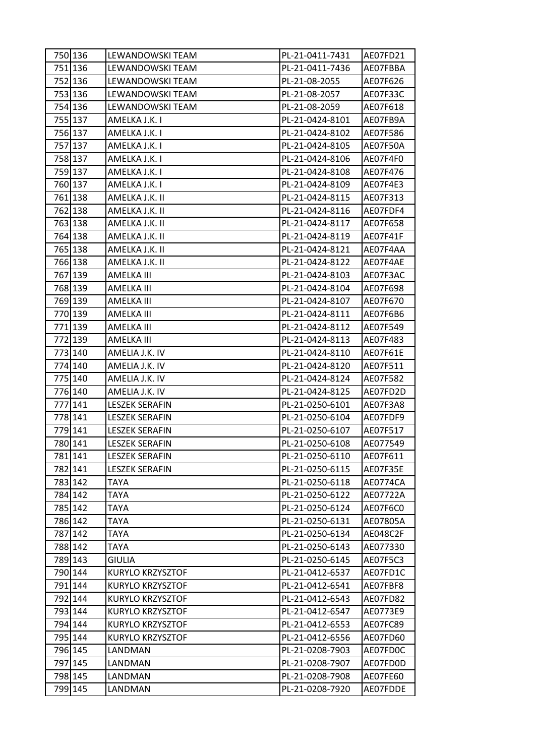|         | 750 136 | LEWANDOWSKI TEAM      | PL-21-0411-7431 | AE07FD21 |
|---------|---------|-----------------------|-----------------|----------|
|         | 751 136 | LEWANDOWSKI TEAM      | PL-21-0411-7436 | AE07FBBA |
|         | 752 136 | LEWANDOWSKI TEAM      | PL-21-08-2055   | AE07F626 |
| 753 136 |         | LEWANDOWSKI TEAM      | PL-21-08-2057   | AE07F33C |
|         | 754 136 | LEWANDOWSKI TEAM      | PL-21-08-2059   | AE07F618 |
|         | 755 137 | AMELKA J.K. I         | PL-21-0424-8101 | AE07FB9A |
|         | 756 137 | AMELKA J.K. I         | PL-21-0424-8102 | AE07F586 |
|         | 757 137 | AMELKA J.K. I         | PL-21-0424-8105 | AE07F50A |
|         | 758 137 | AMELKA J.K. I         | PL-21-0424-8106 | AE07F4F0 |
|         | 759 137 | AMELKA J.K. I         | PL-21-0424-8108 | AE07F476 |
|         | 760 137 | AMELKA J.K. I         | PL-21-0424-8109 | AE07F4E3 |
| 761 138 |         | AMELKA J.K. II        | PL-21-0424-8115 | AE07F313 |
|         | 762 138 | AMELKA J.K. II        | PL-21-0424-8116 | AE07FDF4 |
| 763 138 |         | AMELKA J.K. II        | PL-21-0424-8117 | AE07F658 |
|         | 764 138 | AMELKA J.K. II        | PL-21-0424-8119 | AE07F41F |
|         | 765 138 | AMELKA J.K. II        | PL-21-0424-8121 | AE07F4AA |
| 766 138 |         | AMELKA J.K. II        | PL-21-0424-8122 | AE07F4AE |
| 767 139 |         | AMELKA III            | PL-21-0424-8103 | AE07F3AC |
| 768 139 |         | AMELKA III            | PL-21-0424-8104 | AE07F698 |
| 769 139 |         | <b>AMELKA III</b>     | PL-21-0424-8107 | AE07F670 |
| 770 139 |         | AMELKA III            | PL-21-0424-8111 | AE07F6B6 |
| 771 139 |         | AMELKA III            | PL-21-0424-8112 | AE07F549 |
| 772 139 |         | AMELKA III            | PL-21-0424-8113 | AE07F483 |
| 773 140 |         | AMELIA J.K. IV        | PL-21-0424-8110 | AE07F61E |
|         | 774 140 | AMELIA J.K. IV        | PL-21-0424-8120 | AE07F511 |
| 775 140 |         | AMELIA J.K. IV        | PL-21-0424-8124 | AE07F582 |
| 776 140 |         | AMELIA J.K. IV        | PL-21-0424-8125 | AE07FD2D |
| 777 141 |         | <b>LESZEK SERAFIN</b> | PL-21-0250-6101 | AE07F3A8 |
| 778 141 |         | <b>LESZEK SERAFIN</b> | PL-21-0250-6104 | AE07FDF9 |
|         | 779 141 | <b>LESZEK SERAFIN</b> | PL-21-0250-6107 | AE07F517 |
|         | 780 141 | LESZEK SERAFIN        | PL-21-0250-6108 | AE077549 |
| 781 141 |         | <b>LESZEK SERAFIN</b> | PL-21-0250-6110 | AE07F611 |
|         | 782 141 | <b>LESZEK SERAFIN</b> | PL-21-0250-6115 | AE07F35E |
|         | 783 142 | TAYA                  | PL-21-0250-6118 | AE0774CA |
|         | 784 142 | <b>TAYA</b>           | PL-21-0250-6122 | AE07722A |
|         | 785 142 | TAYA                  | PL-21-0250-6124 | AE07F6C0 |
|         | 786 142 | <b>TAYA</b>           | PL-21-0250-6131 | AE07805A |
|         | 787 142 | TAYA                  | PL-21-0250-6134 | AE048C2F |
|         | 788 142 | TAYA                  | PL-21-0250-6143 | AE077330 |
|         | 789 143 | <b>GIULIA</b>         | PL-21-0250-6145 | AE07F5C3 |
|         | 790 144 | KURYLO KRZYSZTOF      | PL-21-0412-6537 | AE07FD1C |
|         | 791 144 | KURYLO KRZYSZTOF      | PL-21-0412-6541 | AE07FBF8 |
| 792 144 |         | KURYLO KRZYSZTOF      | PL-21-0412-6543 | AE07FD82 |
|         | 793 144 | KURYLO KRZYSZTOF      | PL-21-0412-6547 | AE0773E9 |
|         | 794 144 | KURYLO KRZYSZTOF      | PL-21-0412-6553 | AE07FC89 |
|         | 795 144 | KURYLO KRZYSZTOF      | PL-21-0412-6556 | AE07FD60 |
|         | 796 145 | LANDMAN               | PL-21-0208-7903 | AE07FD0C |
|         | 797 145 | LANDMAN               | PL-21-0208-7907 | AE07FD0D |
|         | 798 145 | LANDMAN               | PL-21-0208-7908 | AE07FE60 |
|         | 799 145 | LANDMAN               | PL-21-0208-7920 | AE07FDDE |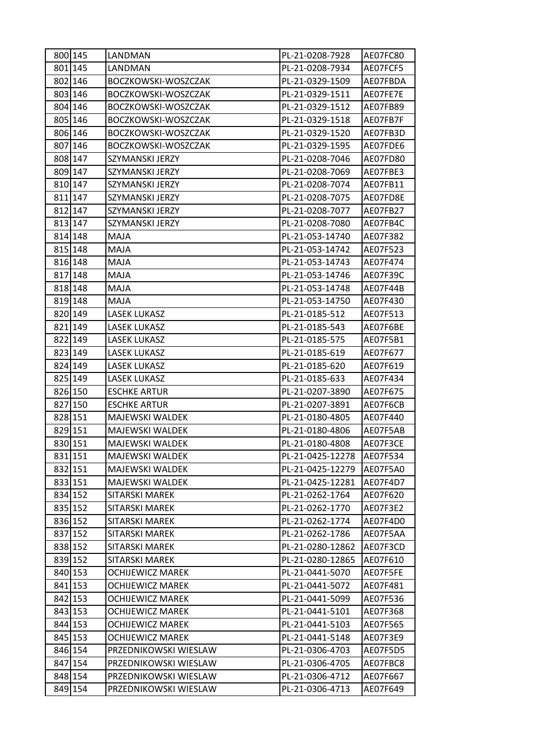| 800 145 | LANDMAN                 | PL-21-0208-7928  | AE07FC80 |
|---------|-------------------------|------------------|----------|
| 801 145 | LANDMAN                 | PL-21-0208-7934  | AE07FCF5 |
| 802 146 | BOCZKOWSKI-WOSZCZAK     | PL-21-0329-1509  | AE07FBDA |
| 803 146 | BOCZKOWSKI-WOSZCZAK     | PL-21-0329-1511  | AE07FE7E |
| 804 146 | BOCZKOWSKI-WOSZCZAK     | PL-21-0329-1512  | AE07FB89 |
| 805 146 | BOCZKOWSKI-WOSZCZAK     | PL-21-0329-1518  | AE07FB7F |
| 806 146 | BOCZKOWSKI-WOSZCZAK     | PL-21-0329-1520  | AE07FB3D |
| 807 146 | BOCZKOWSKI-WOSZCZAK     | PL-21-0329-1595  | AE07FDE6 |
| 808 147 | SZYMANSKI JERZY         | PL-21-0208-7046  | AE07FD80 |
| 809 147 | SZYMANSKI JERZY         | PL-21-0208-7069  | AE07FBE3 |
| 810 147 | SZYMANSKI JERZY         | PL-21-0208-7074  | AE07FB11 |
| 811 147 | SZYMANSKI JERZY         | PL-21-0208-7075  | AE07FD8E |
| 812 147 | SZYMANSKI JERZY         | PL-21-0208-7077  | AE07FB27 |
| 813 147 | SZYMANSKI JERZY         | PL-21-0208-7080  | AE07FB4C |
| 814 148 | MAJA                    | PL-21-053-14740  | AE07F382 |
| 815 148 | MAJA                    | PL-21-053-14742  | AE07F523 |
| 816 148 | MAJA                    | PL-21-053-14743  | AE07F474 |
| 817 148 | MAJA                    | PL-21-053-14746  | AE07F39C |
| 818 148 | <b>MAJA</b>             | PL-21-053-14748  | AE07F44B |
| 819 148 | MAJA                    | PL-21-053-14750  | AE07F430 |
| 820 149 | LASEK LUKASZ            | PL-21-0185-512   | AE07F513 |
| 821 149 | <b>LASEK LUKASZ</b>     | PL-21-0185-543   | AE07F6BE |
| 822 149 | LASEK LUKASZ            | PL-21-0185-575   | AE07F5B1 |
| 823 149 | <b>LASEK LUKASZ</b>     | PL-21-0185-619   | AE07F677 |
| 824 149 | <b>LASEK LUKASZ</b>     | PL-21-0185-620   | AE07F619 |
| 825 149 | LASEK LUKASZ            | PL-21-0185-633   | AE07F434 |
| 826 150 | <b>ESCHKE ARTUR</b>     | PL-21-0207-3890  | AE07F675 |
| 827 150 | <b>ESCHKE ARTUR</b>     | PL-21-0207-3891  | AE07F6CB |
| 828 151 | MAJEWSKI WALDEK         | PL-21-0180-4805  | AE07F440 |
| 829 151 | MAJEWSKI WALDEK         | PL-21-0180-4806  | AE07F5AB |
| 830 151 | MAJEWSKI WALDEK         | PL-21-0180-4808  | AE07F3CE |
| 831 151 | MAJEWSKI WALDEK         | PL-21-0425-12278 | AE07F534 |
| 832 151 | MAJEWSKI WALDEK         | PL-21-0425-12279 | AE07F5A0 |
| 833 151 | <b>MAJEWSKI WALDEK</b>  | PL-21-0425-12281 | AE07F4D7 |
| 834 152 | <b>SITARSKI MAREK</b>   | PL-21-0262-1764  | AE07F620 |
| 835 152 | SITARSKI MAREK          | PL-21-0262-1770  | AE07F3E2 |
| 836 152 | <b>SITARSKI MAREK</b>   | PL-21-0262-1774  | AE07F4D0 |
| 837 152 | SITARSKI MAREK          | PL-21-0262-1786  | AE07F5AA |
| 838 152 | SITARSKI MAREK          | PL-21-0280-12862 | AE07F3CD |
| 839 152 | SITARSKI MAREK          | PL-21-0280-12865 | AE07F610 |
| 840 153 | <b>OCHIJEWICZ MAREK</b> | PL-21-0441-5070  | AE07F5FE |
| 841 153 | <b>OCHIJEWICZ MAREK</b> | PL-21-0441-5072  | AE07F481 |
| 842 153 | OCHIJEWICZ MAREK        | PL-21-0441-5099  | AE07F536 |
| 843 153 | <b>OCHIJEWICZ MAREK</b> | PL-21-0441-5101  | AE07F368 |
| 844 153 | <b>OCHIJEWICZ MAREK</b> | PL-21-0441-5103  | AE07F565 |
| 845 153 | OCHIJEWICZ MAREK        | PL-21-0441-5148  | AE07F3E9 |
| 846 154 | PRZEDNIKOWSKI WIESLAW   | PL-21-0306-4703  | AE07F5D5 |
| 847 154 | PRZEDNIKOWSKI WIESLAW   | PL-21-0306-4705  | AE07FBC8 |
| 848 154 | PRZEDNIKOWSKI WIESLAW   | PL-21-0306-4712  | AE07F667 |
| 849 154 | PRZEDNIKOWSKI WIESLAW   | PL-21-0306-4713  | AE07F649 |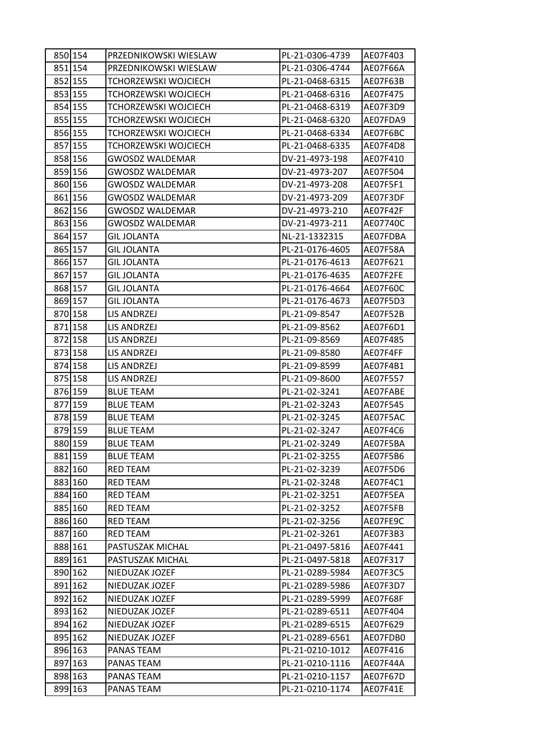| 850 154 | PRZEDNIKOWSKI WIESLAW  | PL-21-0306-4739 | AE07F403 |
|---------|------------------------|-----------------|----------|
| 851 154 | PRZEDNIKOWSKI WIESLAW  | PL-21-0306-4744 | AE07F66A |
| 852 155 | TCHORZEWSKI WOJCIECH   | PL-21-0468-6315 | AE07F63B |
| 853 155 | TCHORZEWSKI WOJCIECH   | PL-21-0468-6316 | AE07F475 |
| 854 155 | TCHORZEWSKI WOJCIECH   | PL-21-0468-6319 | AE07F3D9 |
| 855 155 | TCHORZEWSKI WOJCIECH   | PL-21-0468-6320 | AE07FDA9 |
| 856 155 | TCHORZEWSKI WOJCIECH   | PL-21-0468-6334 | AE07F6BC |
| 857 155 | TCHORZEWSKI WOJCIECH   | PL-21-0468-6335 | AE07F4D8 |
| 858 156 | <b>GWOSDZ WALDEMAR</b> | DV-21-4973-198  | AE07F410 |
| 859 156 | <b>GWOSDZ WALDEMAR</b> | DV-21-4973-207  | AE07F504 |
| 860 156 | GWOSDZ WALDEMAR        | DV-21-4973-208  | AE07F5F1 |
| 861 156 | <b>GWOSDZ WALDEMAR</b> | DV-21-4973-209  | AE07F3DF |
| 862 156 | <b>GWOSDZ WALDEMAR</b> | DV-21-4973-210  | AE07F42F |
| 863 156 | <b>GWOSDZ WALDEMAR</b> | DV-21-4973-211  | AE07740C |
| 864 157 | <b>GIL JOLANTA</b>     | NL-21-1332315   | AE07FDBA |
| 865 157 | <b>GIL JOLANTA</b>     | PL-21-0176-4605 | AE07F58A |
| 866 157 | <b>GIL JOLANTA</b>     | PL-21-0176-4613 | AE07F621 |
| 867 157 | <b>GIL JOLANTA</b>     | PL-21-0176-4635 | AE07F2FE |
| 868 157 | GIL JOLANTA            | PL-21-0176-4664 | AE07F60C |
| 869 157 | <b>GIL JOLANTA</b>     | PL-21-0176-4673 | AE07F5D3 |
| 870 158 | LIS ANDRZEJ            | PL-21-09-8547   | AE07F52B |
| 871 158 | LIS ANDRZEJ            | PL-21-09-8562   | AE07F6D1 |
| 872 158 | LIS ANDRZEJ            | PL-21-09-8569   | AE07F485 |
| 873 158 | LIS ANDRZEJ            | PL-21-09-8580   | AE07F4FF |
| 874 158 | LIS ANDRZEJ            | PL-21-09-8599   | AE07F4B1 |
| 875 158 | LIS ANDRZEJ            | PL-21-09-8600   | AE07F557 |
| 876 159 | <b>BLUE TEAM</b>       | PL-21-02-3241   | AE07FABE |
| 877 159 | <b>BLUE TEAM</b>       | PL-21-02-3243   | AE07F545 |
| 878 159 | <b>BLUE TEAM</b>       | PL-21-02-3245   | AE07F5AC |
| 879 159 | <b>BLUE TEAM</b>       | PL-21-02-3247   | AE07F4C6 |
| 880 159 | <b>BLUE TEAM</b>       | PL-21-02-3249   | AE07F5BA |
| 881 159 | <b>BLUE TEAM</b>       | PL-21-02-3255   | AE07F5B6 |
| 882 160 | <b>RED TEAM</b>        | PL-21-02-3239   | AE07F5D6 |
| 883 160 | <b>RED TEAM</b>        | PL-21-02-3248   | AE07F4C1 |
| 884 160 | <b>RED TEAM</b>        | PL-21-02-3251   | AE07F5EA |
| 885 160 | RED TEAM               | PL-21-02-3252   | AE07F5FB |
| 886 160 | <b>RED TEAM</b>        | PL-21-02-3256   | AE07FE9C |
| 887 160 | <b>RED TEAM</b>        | PL-21-02-3261   | AE07F3B3 |
| 888 161 | PASTUSZAK MICHAL       | PL-21-0497-5816 | AE07F441 |
| 889 161 | PASTUSZAK MICHAL       | PL-21-0497-5818 | AE07F317 |
| 890 162 | NIEDUZAK JOZEF         | PL-21-0289-5984 | AE07F3C5 |
| 891 162 | NIEDUZAK JOZEF         | PL-21-0289-5986 | AE07F3D7 |
| 892 162 | NIEDUZAK JOZEF         | PL-21-0289-5999 | AE07F68F |
| 893 162 | NIEDUZAK JOZEF         | PL-21-0289-6511 | AE07F404 |
| 894 162 | NIEDUZAK JOZEF         | PL-21-0289-6515 | AE07F629 |
| 895 162 | NIEDUZAK JOZEF         | PL-21-0289-6561 | AE07FDB0 |
| 896 163 | PANAS TEAM             | PL-21-0210-1012 | AE07F416 |
| 897 163 | PANAS TEAM             | PL-21-0210-1116 | AE07F44A |
| 898 163 | PANAS TEAM             | PL-21-0210-1157 | AE07F67D |
| 899 163 | PANAS TEAM             | PL-21-0210-1174 | AE07F41E |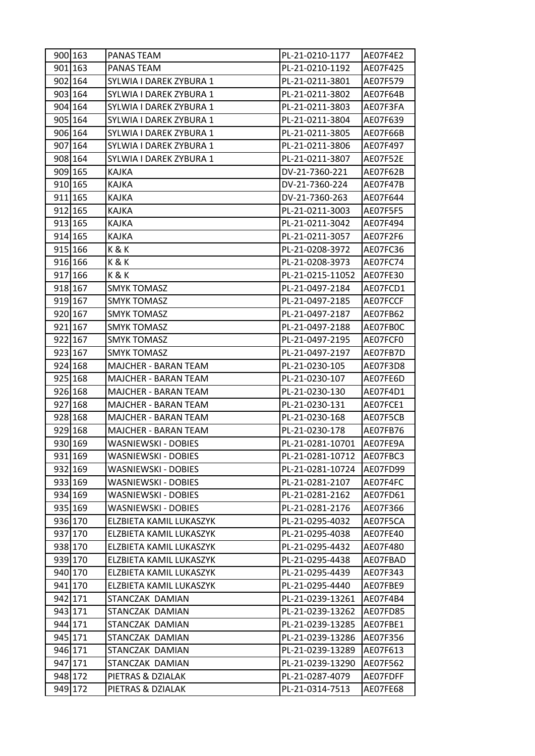| 900 163 | PANAS TEAM              | PL-21-0210-1177  | AE07F4E2 |
|---------|-------------------------|------------------|----------|
| 901 163 | PANAS TEAM              | PL-21-0210-1192  | AE07F425 |
| 902 164 | SYLWIA I DAREK ZYBURA 1 | PL-21-0211-3801  | AE07F579 |
| 903 164 | SYLWIA I DAREK ZYBURA 1 | PL-21-0211-3802  | AE07F64B |
| 904 164 | SYLWIA I DAREK ZYBURA 1 | PL-21-0211-3803  | AE07F3FA |
| 905 164 | SYLWIA I DAREK ZYBURA 1 | PL-21-0211-3804  | AE07F639 |
| 906 164 | SYLWIA I DAREK ZYBURA 1 | PL-21-0211-3805  | AE07F66B |
| 907 164 | SYLWIA I DAREK ZYBURA 1 | PL-21-0211-3806  | AE07F497 |
| 908 164 | SYLWIA I DAREK ZYBURA 1 | PL-21-0211-3807  | AE07F52E |
| 909 165 | KAJKA                   | DV-21-7360-221   | AE07F62B |
| 910 165 | KAJKA                   | DV-21-7360-224   | AE07F47B |
| 911 165 | KAJKA                   | DV-21-7360-263   | AE07F644 |
| 912 165 | KAJKA                   | PL-21-0211-3003  | AE07F5F5 |
| 913 165 | KAJKA                   | PL-21-0211-3042  | AE07F494 |
| 914 165 | KAJKA                   | PL-21-0211-3057  | AE07F2F6 |
| 915 166 | K & K                   | PL-21-0208-3972  | AE07FC36 |
| 916 166 | K&K                     | PL-21-0208-3973  | AE07FC74 |
| 917 166 | K&K                     | PL-21-0215-11052 | AE07FE30 |
| 918 167 | <b>SMYK TOMASZ</b>      | PL-21-0497-2184  | AE07FCD1 |
| 919 167 | <b>SMYK TOMASZ</b>      | PL-21-0497-2185  | AE07FCCF |
| 920 167 | <b>SMYK TOMASZ</b>      | PL-21-0497-2187  | AE07FB62 |
| 921 167 | <b>SMYK TOMASZ</b>      | PL-21-0497-2188  | AE07FB0C |
| 922 167 | <b>SMYK TOMASZ</b>      | PL-21-0497-2195  | AE07FCF0 |
| 923 167 | <b>SMYK TOMASZ</b>      | PL-21-0497-2197  | AE07FB7D |
| 924 168 | MAJCHER - BARAN TEAM    | PL-21-0230-105   | AE07F3D8 |
| 925 168 | MAJCHER - BARAN TEAM    | PL-21-0230-107   | AE07FE6D |
| 926 168 | MAJCHER - BARAN TEAM    | PL-21-0230-130   | AE07F4D1 |
| 927 168 | MAJCHER - BARAN TEAM    | PL-21-0230-131   | AE07FCE1 |
| 928 168 | MAJCHER - BARAN TEAM    | PL-21-0230-168   | AE07F5CB |
| 929 168 | MAJCHER - BARAN TEAM    | PL-21-0230-178   | AE07FB76 |
| 930 169 | WASNIEWSKI - DOBIES     | PL-21-0281-10701 | AE07FE9A |
| 931 169 | WASNIEWSKI - DOBIES     | PL-21-0281-10712 | AE07FBC3 |
| 932 169 | WASNIEWSKI - DOBIES     | PL-21-0281-10724 | AE07FD99 |
| 933 169 | WASNIEWSKI - DOBIES     | PL-21-0281-2107  | AE07F4FC |
| 934 169 | WASNIEWSKI - DOBIES     | PL-21-0281-2162  | AE07FD61 |
| 935 169 | WASNIEWSKI - DOBIES     | PL-21-0281-2176  | AE07F366 |
| 936 170 | ELZBIETA KAMIL LUKASZYK | PL-21-0295-4032  | AE07F5CA |
| 937 170 | ELZBIETA KAMIL LUKASZYK | PL-21-0295-4038  | AE07FE40 |
| 938 170 | ELZBIETA KAMIL LUKASZYK | PL-21-0295-4432  | AE07F480 |
| 939 170 | ELZBIETA KAMIL LUKASZYK | PL-21-0295-4438  | AE07FBAD |
| 940 170 | ELZBIETA KAMIL LUKASZYK | PL-21-0295-4439  | AE07F343 |
| 941 170 | ELZBIETA KAMIL LUKASZYK | PL-21-0295-4440  | AE07FBE9 |
| 942 171 | STANCZAK DAMIAN         | PL-21-0239-13261 | AE07F4B4 |
| 943 171 | STANCZAK DAMIAN         | PL-21-0239-13262 | AE07FD85 |
| 944 171 | STANCZAK DAMIAN         | PL-21-0239-13285 | AE07FBE1 |
| 945 171 | STANCZAK DAMIAN         | PL-21-0239-13286 | AE07F356 |
| 946 171 | STANCZAK DAMIAN         | PL-21-0239-13289 | AE07F613 |
| 947 171 | STANCZAK DAMIAN         | PL-21-0239-13290 | AE07F562 |
| 948 172 | PIETRAS & DZIALAK       | PL-21-0287-4079  | AE07FDFF |
| 949 172 | PIETRAS & DZIALAK       | PL-21-0314-7513  | AE07FE68 |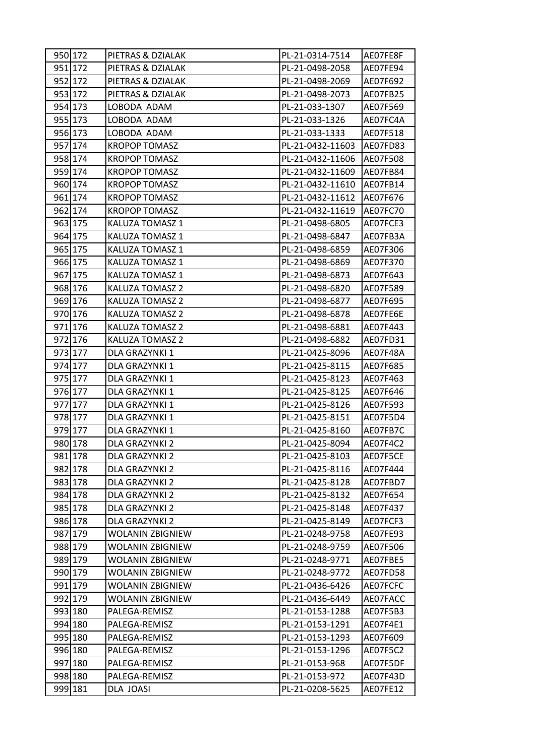| 950 172 | PIETRAS & DZIALAK       | PL-21-0314-7514  | AE07FE8F |
|---------|-------------------------|------------------|----------|
| 951 172 | PIETRAS & DZIALAK       | PL-21-0498-2058  | AE07FE94 |
| 952 172 | PIETRAS & DZIALAK       | PL-21-0498-2069  | AE07F692 |
| 953 172 | PIETRAS & DZIALAK       | PL-21-0498-2073  | AE07FB25 |
| 954 173 | LOBODA ADAM             | PL-21-033-1307   | AE07F569 |
| 955 173 | LOBODA ADAM             | PL-21-033-1326   | AE07FC4A |
| 956 173 | LOBODA ADAM             | PL-21-033-1333   | AE07F518 |
| 957 174 | <b>KROPOP TOMASZ</b>    | PL-21-0432-11603 | AE07FD83 |
| 958 174 | <b>KROPOP TOMASZ</b>    | PL-21-0432-11606 | AE07F508 |
| 959 174 | <b>KROPOP TOMASZ</b>    | PL-21-0432-11609 | AE07FB84 |
| 960 174 | <b>KROPOP TOMASZ</b>    | PL-21-0432-11610 | AE07FB14 |
| 961 174 | <b>KROPOP TOMASZ</b>    | PL-21-0432-11612 | AE07F676 |
| 962 174 | <b>KROPOP TOMASZ</b>    | PL-21-0432-11619 | AE07FC70 |
| 963 175 | KALUZA TOMASZ 1         | PL-21-0498-6805  | AE07FCE3 |
| 964 175 | KALUZA TOMASZ 1         | PL-21-0498-6847  | AE07FB3A |
| 965 175 | KALUZA TOMASZ 1         | PL-21-0498-6859  | AE07F306 |
| 966 175 | KALUZA TOMASZ 1         | PL-21-0498-6869  | AE07F370 |
| 967 175 | KALUZA TOMASZ 1         | PL-21-0498-6873  | AE07F643 |
| 968 176 | <b>KALUZA TOMASZ 2</b>  | PL-21-0498-6820  | AE07F589 |
| 969 176 | KALUZA TOMASZ 2         | PL-21-0498-6877  | AE07F695 |
| 970 176 | <b>KALUZA TOMASZ 2</b>  | PL-21-0498-6878  | AE07FE6E |
| 971 176 | KALUZA TOMASZ 2         | PL-21-0498-6881  | AE07F443 |
| 972 176 | KALUZA TOMASZ 2         | PL-21-0498-6882  | AE07FD31 |
| 973 177 | DLA GRAZYNKI 1          | PL-21-0425-8096  | AE07F48A |
| 974 177 | DLA GRAZYNKI 1          | PL-21-0425-8115  | AE07F685 |
| 975 177 | DLA GRAZYNKI 1          | PL-21-0425-8123  | AE07F463 |
| 976 177 | DLA GRAZYNKI 1          | PL-21-0425-8125  | AE07F646 |
| 977 177 | DLA GRAZYNKI 1          | PL-21-0425-8126  | AE07F593 |
| 978 177 | DLA GRAZYNKI 1          | PL-21-0425-8151  | AE07F5D4 |
| 979 177 | DLA GRAZYNKI 1          | PL-21-0425-8160  | AE07FB7C |
| 980 178 | DLA GRAZYNKI 2          | PL-21-0425-8094  | AE07F4C2 |
| 981 178 | DLA GRAZYNKI 2          | PL-21-0425-8103  | AE07F5CE |
| 982 178 | DLA GRAZYNKI 2          | PL-21-0425-8116  | AE07F444 |
| 983 178 | DLA GRAZYNKI 2          | PL-21-0425-8128  | AE07FBD7 |
| 984 178 | DLA GRAZYNKI 2          | PL-21-0425-8132  | AE07F654 |
| 985 178 | DLA GRAZYNKI 2          | PL-21-0425-8148  | AE07F437 |
| 986 178 | DLA GRAZYNKI 2          | PL-21-0425-8149  | AE07FCF3 |
| 987 179 | WOLANIN ZBIGNIEW        | PL-21-0248-9758  | AE07FE93 |
| 988 179 | <b>WOLANIN ZBIGNIEW</b> | PL-21-0248-9759  | AE07F506 |
| 989 179 | <b>WOLANIN ZBIGNIEW</b> | PL-21-0248-9771  | AE07FBE5 |
| 990 179 | <b>WOLANIN ZBIGNIEW</b> | PL-21-0248-9772  | AE07FD58 |
| 991 179 | <b>WOLANIN ZBIGNIEW</b> | PL-21-0436-6426  | AE07FCFC |
| 992 179 | WOLANIN ZBIGNIEW        | PL-21-0436-6449  | AE07FACC |
| 993 180 | PALEGA-REMISZ           | PL-21-0153-1288  | AE07F5B3 |
| 994 180 | PALEGA-REMISZ           | PL-21-0153-1291  | AE07F4E1 |
| 995 180 | PALEGA-REMISZ           | PL-21-0153-1293  | AE07F609 |
| 996 180 | PALEGA-REMISZ           | PL-21-0153-1296  | AE07F5C2 |
| 997 180 | PALEGA-REMISZ           | PL-21-0153-968   | AE07F5DF |
| 998 180 | PALEGA-REMISZ           | PL-21-0153-972   | AE07F43D |
| 999 181 | DLA JOASI               | PL-21-0208-5625  | AE07FE12 |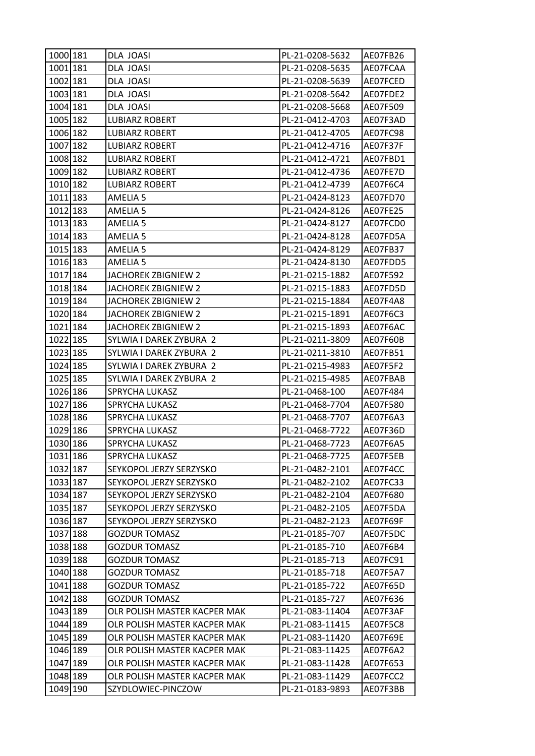| 1000 181 | DLA JOASI                    | PL-21-0208-5632 | AE07FB26 |
|----------|------------------------------|-----------------|----------|
| 1001 181 | DLA JOASI                    | PL-21-0208-5635 | AE07FCAA |
| 1002 181 | DLA JOASI                    | PL-21-0208-5639 | AE07FCED |
| 1003 181 | DLA JOASI                    | PL-21-0208-5642 | AE07FDE2 |
| 1004 181 | <b>DLA JOASI</b>             | PL-21-0208-5668 | AE07F509 |
| 1005 182 | <b>LUBIARZ ROBERT</b>        | PL-21-0412-4703 | AE07F3AD |
| 1006 182 | <b>LUBIARZ ROBERT</b>        | PL-21-0412-4705 | AE07FC98 |
| 1007 182 | <b>LUBIARZ ROBERT</b>        | PL-21-0412-4716 | AE07F37F |
| 1008 182 | <b>LUBIARZ ROBERT</b>        | PL-21-0412-4721 | AE07FBD1 |
| 1009 182 | <b>LUBIARZ ROBERT</b>        | PL-21-0412-4736 | AE07FE7D |
| 1010 182 | <b>LUBIARZ ROBERT</b>        | PL-21-0412-4739 | AE07F6C4 |
| 1011 183 | AMELIA 5                     | PL-21-0424-8123 | AE07FD70 |
| 1012 183 | AMELIA 5                     | PL-21-0424-8126 | AE07FE25 |
| 1013 183 | AMELIA 5                     | PL-21-0424-8127 | AE07FCD0 |
| 1014 183 | AMELIA <sub>5</sub>          | PL-21-0424-8128 | AE07FD5A |
| 1015 183 | AMELIA 5                     | PL-21-0424-8129 | AE07FB37 |
| 1016 183 | AMELIA <sub>5</sub>          | PL-21-0424-8130 | AE07FDD5 |
| 1017 184 | JACHOREK ZBIGNIEW 2          | PL-21-0215-1882 | AE07F592 |
| 1018 184 | JACHOREK ZBIGNIEW 2          | PL-21-0215-1883 | AE07FD5D |
| 1019 184 | JACHOREK ZBIGNIEW 2          | PL-21-0215-1884 | AE07F4A8 |
| 1020 184 | JACHOREK ZBIGNIEW 2          | PL-21-0215-1891 | AE07F6C3 |
| 1021 184 | JACHOREK ZBIGNIEW 2          | PL-21-0215-1893 | AE07F6AC |
| 1022 185 | SYLWIA I DAREK ZYBURA 2      | PL-21-0211-3809 | AE07F60B |
| 1023 185 | SYLWIA I DAREK ZYBURA 2      | PL-21-0211-3810 | AE07FB51 |
| 1024 185 | SYLWIA I DAREK ZYBURA 2      | PL-21-0215-4983 | AE07F5F2 |
| 1025 185 | SYLWIA I DAREK ZYBURA 2      | PL-21-0215-4985 | AE07FBAB |
| 1026 186 | SPRYCHA LUKASZ               | PL-21-0468-100  | AE07F484 |
| 1027 186 | SPRYCHA LUKASZ               | PL-21-0468-7704 | AE07F580 |
| 1028 186 | SPRYCHA LUKASZ               | PL-21-0468-7707 | AE07F6A3 |
| 1029 186 | SPRYCHA LUKASZ               | PL-21-0468-7722 | AE07F36D |
| 1030 186 | SPRYCHA LUKASZ               | PL-21-0468-7723 | AE07F6A5 |
| 1031 186 | SPRYCHA LUKASZ               | PL-21-0468-7725 | AE07F5EB |
| 1032 187 | SEYKOPOL JERZY SERZYSKO      | PL-21-0482-2101 | AE07F4CC |
| 1033 187 | SEYKOPOL JERZY SERZYSKO      | PL-21-0482-2102 | AE07FC33 |
| 1034 187 | SEYKOPOL JERZY SERZYSKO      | PL-21-0482-2104 | AE07F680 |
| 1035 187 | SEYKOPOL JERZY SERZYSKO      | PL-21-0482-2105 | AE07F5DA |
| 1036 187 | SEYKOPOL JERZY SERZYSKO      | PL-21-0482-2123 | AE07F69F |
| 1037 188 | <b>GOZDUR TOMASZ</b>         | PL-21-0185-707  | AE07F5DC |
| 1038 188 | <b>GOZDUR TOMASZ</b>         | PL-21-0185-710  | AE07F6B4 |
| 1039 188 | <b>GOZDUR TOMASZ</b>         | PL-21-0185-713  | AE07FC91 |
| 1040 188 | <b>GOZDUR TOMASZ</b>         | PL-21-0185-718  | AE07F5A7 |
| 1041 188 | <b>GOZDUR TOMASZ</b>         | PL-21-0185-722  | AE07F65D |
| 1042 188 | <b>GOZDUR TOMASZ</b>         | PL-21-0185-727  | AE07F636 |
| 1043 189 | OLR POLISH MASTER KACPER MAK | PL-21-083-11404 | AE07F3AF |
| 1044 189 | OLR POLISH MASTER KACPER MAK | PL-21-083-11415 | AE07F5C8 |
| 1045 189 | OLR POLISH MASTER KACPER MAK | PL-21-083-11420 | AE07F69E |
| 1046 189 | OLR POLISH MASTER KACPER MAK | PL-21-083-11425 | AE07F6A2 |
| 1047 189 | OLR POLISH MASTER KACPER MAK | PL-21-083-11428 | AE07F653 |
| 1048 189 | OLR POLISH MASTER KACPER MAK | PL-21-083-11429 | AE07FCC2 |
| 1049 190 | SZYDLOWIEC-PINCZOW           | PL-21-0183-9893 | AE07F3BB |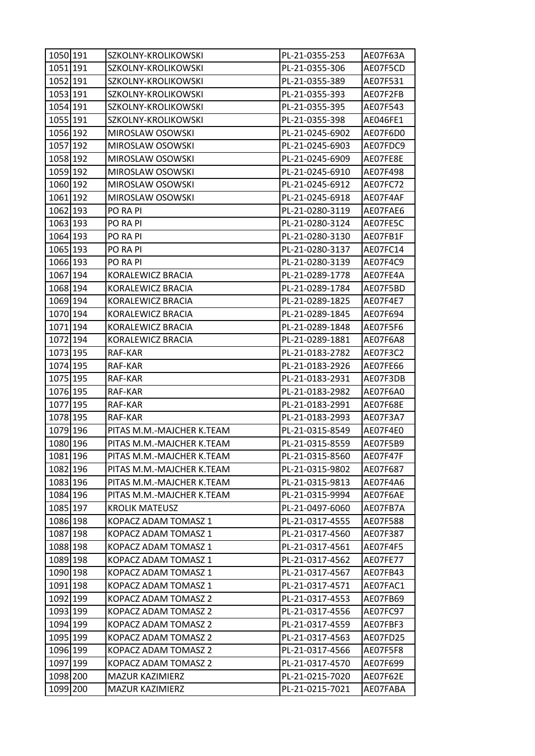| 1050 191 | SZKOLNY-KROLIKOWSKI       | PL-21-0355-253  | AE07F63A |
|----------|---------------------------|-----------------|----------|
| 1051 191 | SZKOLNY-KROLIKOWSKI       | PL-21-0355-306  | AE07F5CD |
| 1052 191 | SZKOLNY-KROLIKOWSKI       | PL-21-0355-389  | AE07F531 |
| 1053 191 | SZKOLNY-KROLIKOWSKI       | PL-21-0355-393  | AE07F2FB |
| 1054 191 | SZKOLNY-KROLIKOWSKI       | PL-21-0355-395  | AE07F543 |
| 1055 191 | SZKOLNY-KROLIKOWSKI       | PL-21-0355-398  | AE046FE1 |
| 1056 192 | MIROSLAW OSOWSKI          | PL-21-0245-6902 | AE07F6D0 |
| 1057 192 | MIROSLAW OSOWSKI          | PL-21-0245-6903 | AE07FDC9 |
| 1058 192 | MIROSLAW OSOWSKI          | PL-21-0245-6909 | AE07FE8E |
| 1059 192 | MIROSLAW OSOWSKI          | PL-21-0245-6910 | AE07F498 |
| 1060 192 | MIROSLAW OSOWSKI          | PL-21-0245-6912 | AE07FC72 |
| 1061 192 | MIROSLAW OSOWSKI          | PL-21-0245-6918 | AE07F4AF |
| 1062 193 | PO RA PI                  | PL-21-0280-3119 | AE07FAE6 |
| 1063 193 | PO RA PI                  | PL-21-0280-3124 | AE07FE5C |
| 1064 193 | PO RA PI                  | PL-21-0280-3130 | AE07FB1F |
| 1065 193 | PO RA PI                  | PL-21-0280-3137 | AE07FC14 |
| 1066 193 | PO RA PI                  | PL-21-0280-3139 | AE07F4C9 |
| 1067 194 | KORALEWICZ BRACIA         | PL-21-0289-1778 | AE07FE4A |
| 1068 194 | KORALEWICZ BRACIA         | PL-21-0289-1784 | AE07F5BD |
| 1069 194 | KORALEWICZ BRACIA         | PL-21-0289-1825 | AE07F4E7 |
| 1070 194 | KORALEWICZ BRACIA         | PL-21-0289-1845 | AE07F694 |
| 1071 194 | KORALEWICZ BRACIA         | PL-21-0289-1848 | AE07F5F6 |
| 1072 194 | KORALEWICZ BRACIA         | PL-21-0289-1881 | AE07F6A8 |
| 1073 195 | RAF-KAR                   | PL-21-0183-2782 | AE07F3C2 |
| 1074 195 | RAF-KAR                   | PL-21-0183-2926 | AE07FE66 |
| 1075 195 | RAF-KAR                   | PL-21-0183-2931 | AE07F3DB |
| 1076 195 | RAF-KAR                   | PL-21-0183-2982 | AE07F6A0 |
| 1077 195 | RAF-KAR                   | PL-21-0183-2991 | AE07F68E |
| 1078 195 | RAF-KAR                   | PL-21-0183-2993 | AE07F3A7 |
| 1079 196 | PITAS M.M.-MAJCHER K.TEAM | PL-21-0315-8549 | AE07F4E0 |
| 1080 196 | PITAS M.M.-MAJCHER K.TEAM | PL-21-0315-8559 | AE07F5B9 |
| 1081 196 | PITAS M.M.-MAJCHER K.TEAM | PL-21-0315-8560 | AE07F47F |
| 1082 196 | PITAS M.M.-MAJCHER K.TEAM | PL-21-0315-9802 | AE07F687 |
| 1083 196 | PITAS M.M.-MAJCHER K.TEAM | PL-21-0315-9813 | AE07F4A6 |
| 1084 196 | PITAS M.M.-MAJCHER K.TEAM | PL-21-0315-9994 | AE07F6AE |
| 1085 197 | <b>KROLIK MATEUSZ</b>     | PL-21-0497-6060 | AE07FB7A |
| 1086 198 | KOPACZ ADAM TOMASZ 1      | PL-21-0317-4555 | AE07F588 |
| 1087 198 | KOPACZ ADAM TOMASZ 1      | PL-21-0317-4560 | AE07F387 |
| 1088 198 | KOPACZ ADAM TOMASZ 1      | PL-21-0317-4561 | AE07F4F5 |
| 1089 198 | KOPACZ ADAM TOMASZ 1      | PL-21-0317-4562 | AE07FE77 |
| 1090 198 | KOPACZ ADAM TOMASZ 1      | PL-21-0317-4567 | AE07FB43 |
| 1091 198 | KOPACZ ADAM TOMASZ 1      | PL-21-0317-4571 | AE07FAC1 |
| 1092 199 | KOPACZ ADAM TOMASZ 2      | PL-21-0317-4553 | AE07FB69 |
| 1093 199 | KOPACZ ADAM TOMASZ 2      | PL-21-0317-4556 | AE07FC97 |
| 1094 199 | KOPACZ ADAM TOMASZ 2      | PL-21-0317-4559 | AE07FBF3 |
| 1095 199 | KOPACZ ADAM TOMASZ 2      | PL-21-0317-4563 | AE07FD25 |
| 1096 199 | KOPACZ ADAM TOMASZ 2      | PL-21-0317-4566 | AE07F5F8 |
| 1097 199 | KOPACZ ADAM TOMASZ 2      | PL-21-0317-4570 | AE07F699 |
| 1098 200 | MAZUR KAZIMIERZ           | PL-21-0215-7020 | AE07F62E |
| 1099 200 | MAZUR KAZIMIERZ           | PL-21-0215-7021 | AE07FABA |